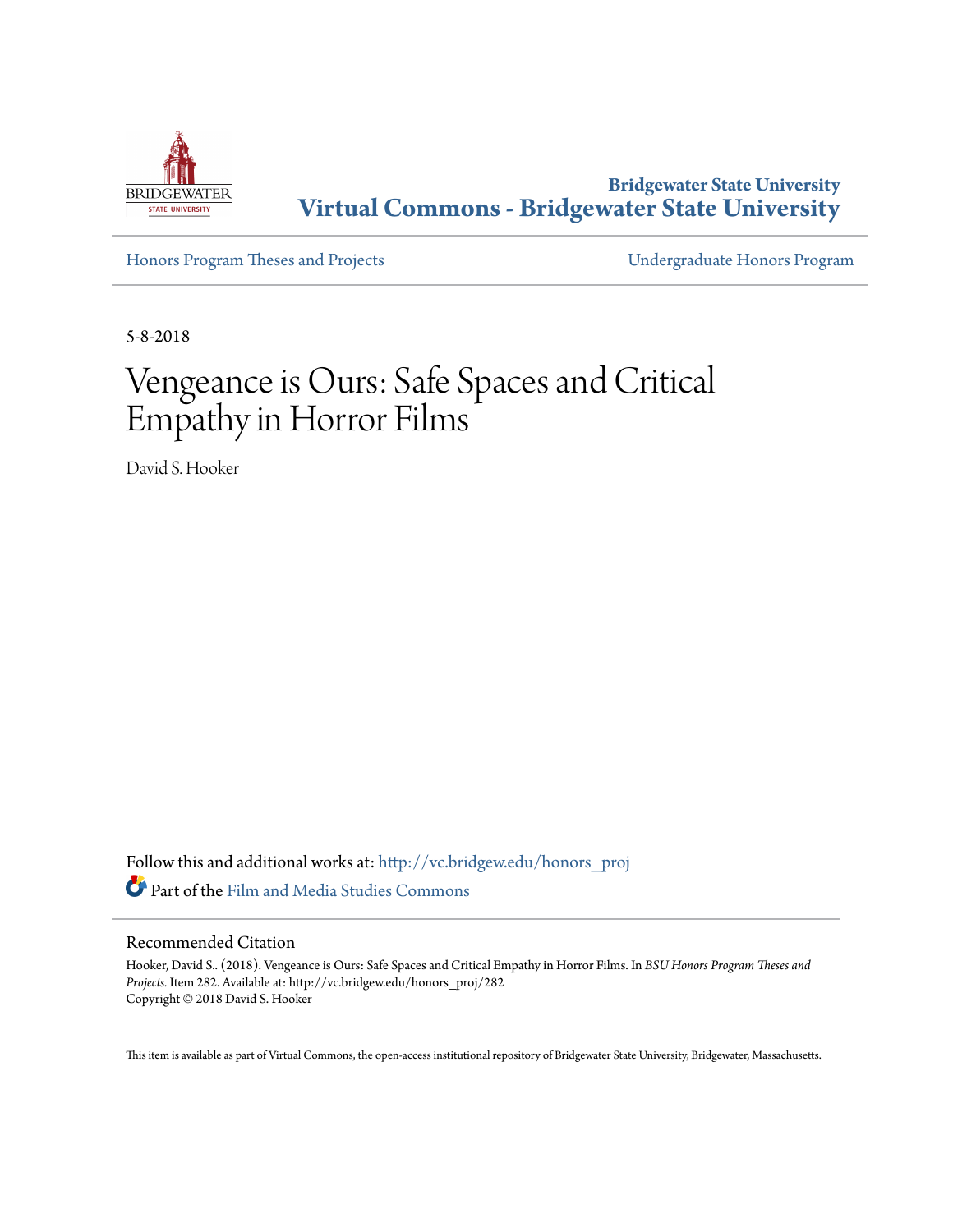

**Bridgewater State University [Virtual Commons - Bridgewater State University](http://vc.bridgew.edu?utm_source=vc.bridgew.edu%2Fhonors_proj%2F282&utm_medium=PDF&utm_campaign=PDFCoverPages)**

[Honors Program Theses and Projects](http://vc.bridgew.edu/honors_proj?utm_source=vc.bridgew.edu%2Fhonors_proj%2F282&utm_medium=PDF&utm_campaign=PDFCoverPages) [Undergraduate Honors Program](http://vc.bridgew.edu/honors?utm_source=vc.bridgew.edu%2Fhonors_proj%2F282&utm_medium=PDF&utm_campaign=PDFCoverPages)

5-8-2018

# Vengeance is Ours: Safe Spaces and Critical Empathy in Horror Films

David S. Hooker

Follow this and additional works at: [http://vc.bridgew.edu/honors\\_proj](http://vc.bridgew.edu/honors_proj?utm_source=vc.bridgew.edu%2Fhonors_proj%2F282&utm_medium=PDF&utm_campaign=PDFCoverPages) Part of the [Film and Media Studies Commons](http://network.bepress.com/hgg/discipline/563?utm_source=vc.bridgew.edu%2Fhonors_proj%2F282&utm_medium=PDF&utm_campaign=PDFCoverPages)

#### Recommended Citation

Hooker, David S.. (2018). Vengeance is Ours: Safe Spaces and Critical Empathy in Horror Films. In *BSU Honors Program Theses and Projects.* Item 282. Available at: http://vc.bridgew.edu/honors\_proj/282 Copyright © 2018 David S. Hooker

This item is available as part of Virtual Commons, the open-access institutional repository of Bridgewater State University, Bridgewater, Massachusetts.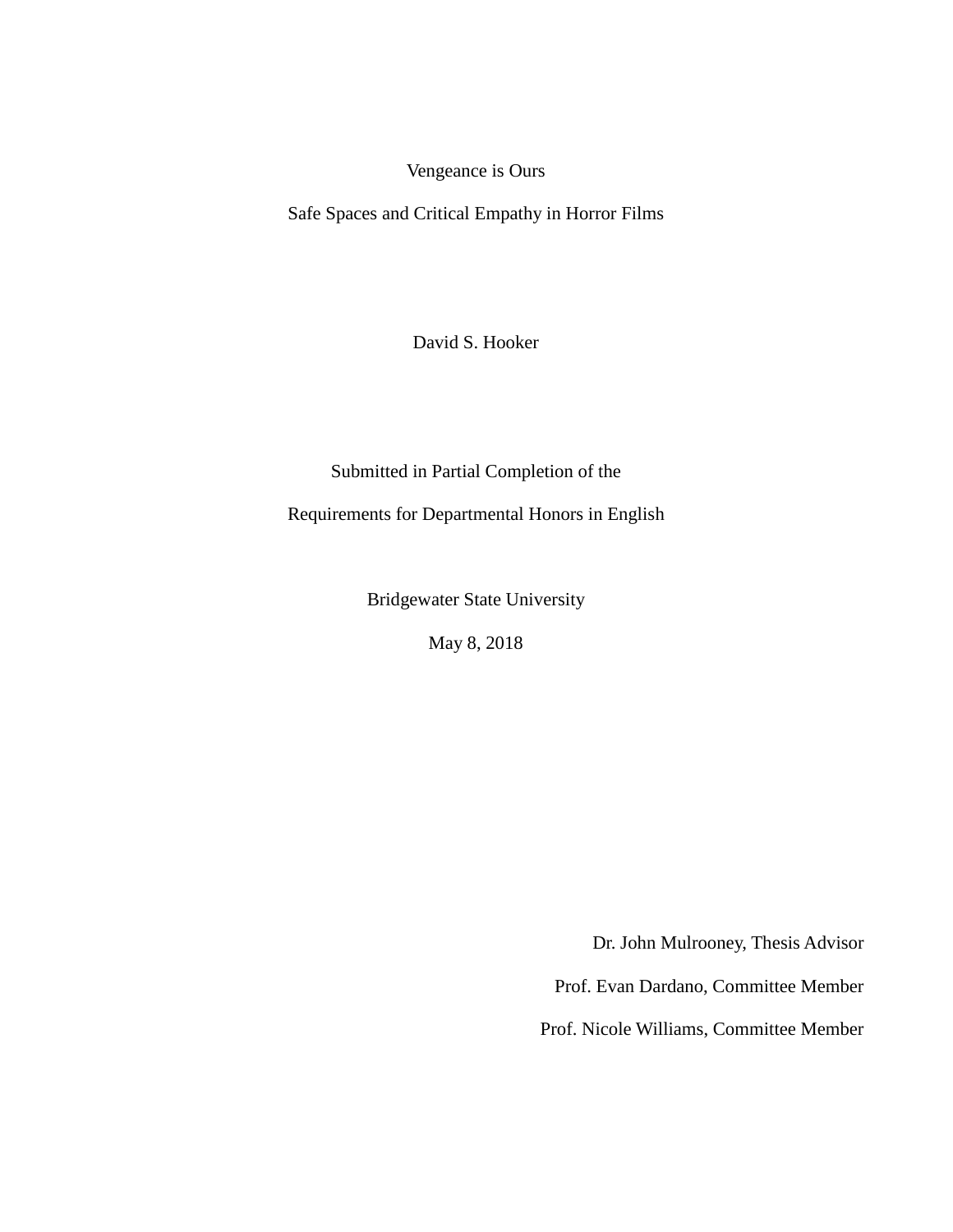Vengeance is Ours

Safe Spaces and Critical Empathy in Horror Films

David S. Hooker

Submitted in Partial Completion of the

Requirements for Departmental Honors in English

Bridgewater State University

May 8, 2018

Dr. John Mulrooney, Thesis Advisor

Prof. Evan Dardano, Committee Member

Prof. Nicole Williams, Committee Member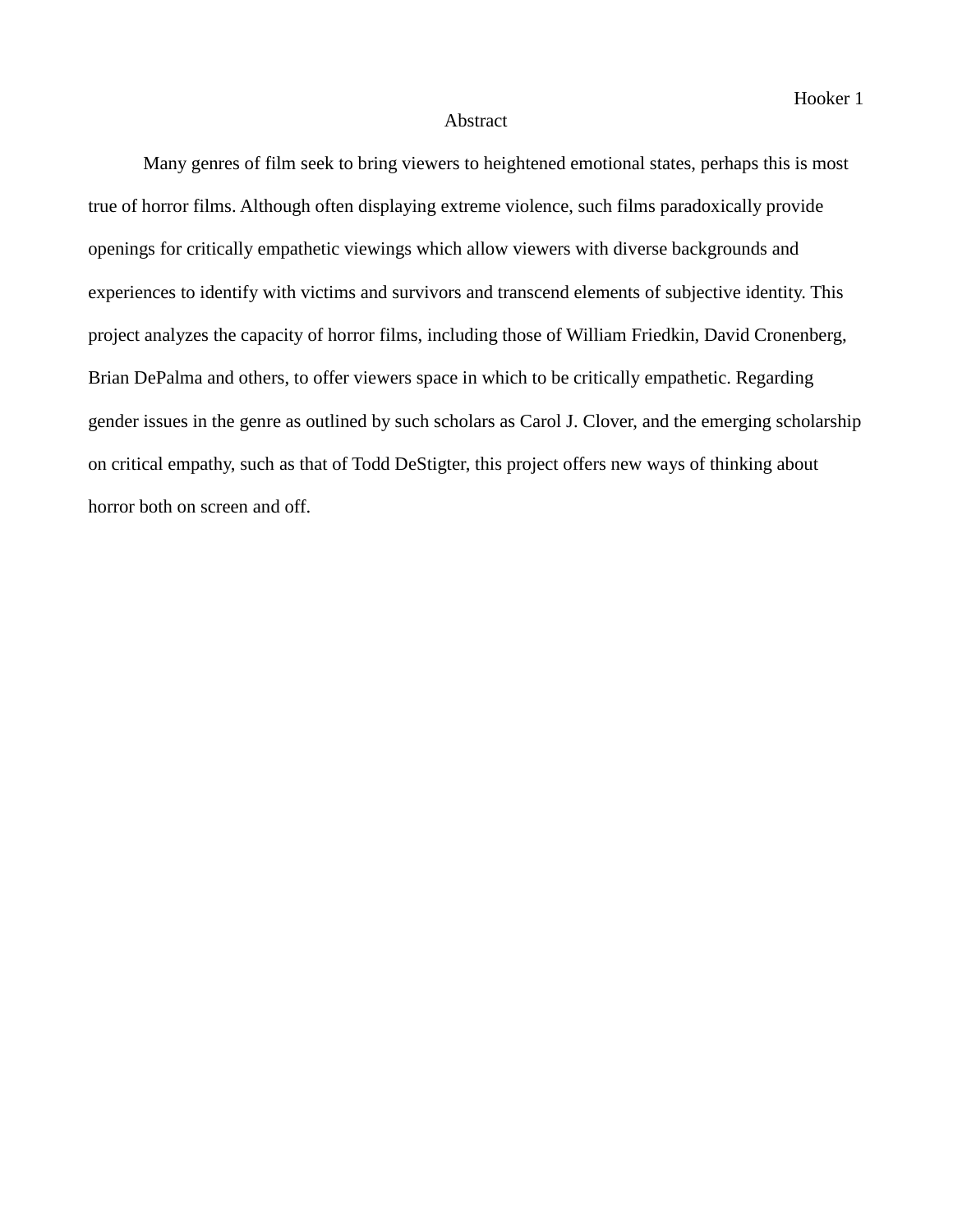## Abstract

Many genres of film seek to bring viewers to heightened emotional states, perhaps this is most true of horror films. Although often displaying extreme violence, such films paradoxically provide openings for critically empathetic viewings which allow viewers with diverse backgrounds and experiences to identify with victims and survivors and transcend elements of subjective identity. This project analyzes the capacity of horror films, including those of William Friedkin, David Cronenberg, Brian DePalma and others, to offer viewers space in which to be critically empathetic. Regarding gender issues in the genre as outlined by such scholars as Carol J. Clover, and the emerging scholarship on critical empathy, such as that of Todd DeStigter, this project offers new ways of thinking about horror both on screen and off.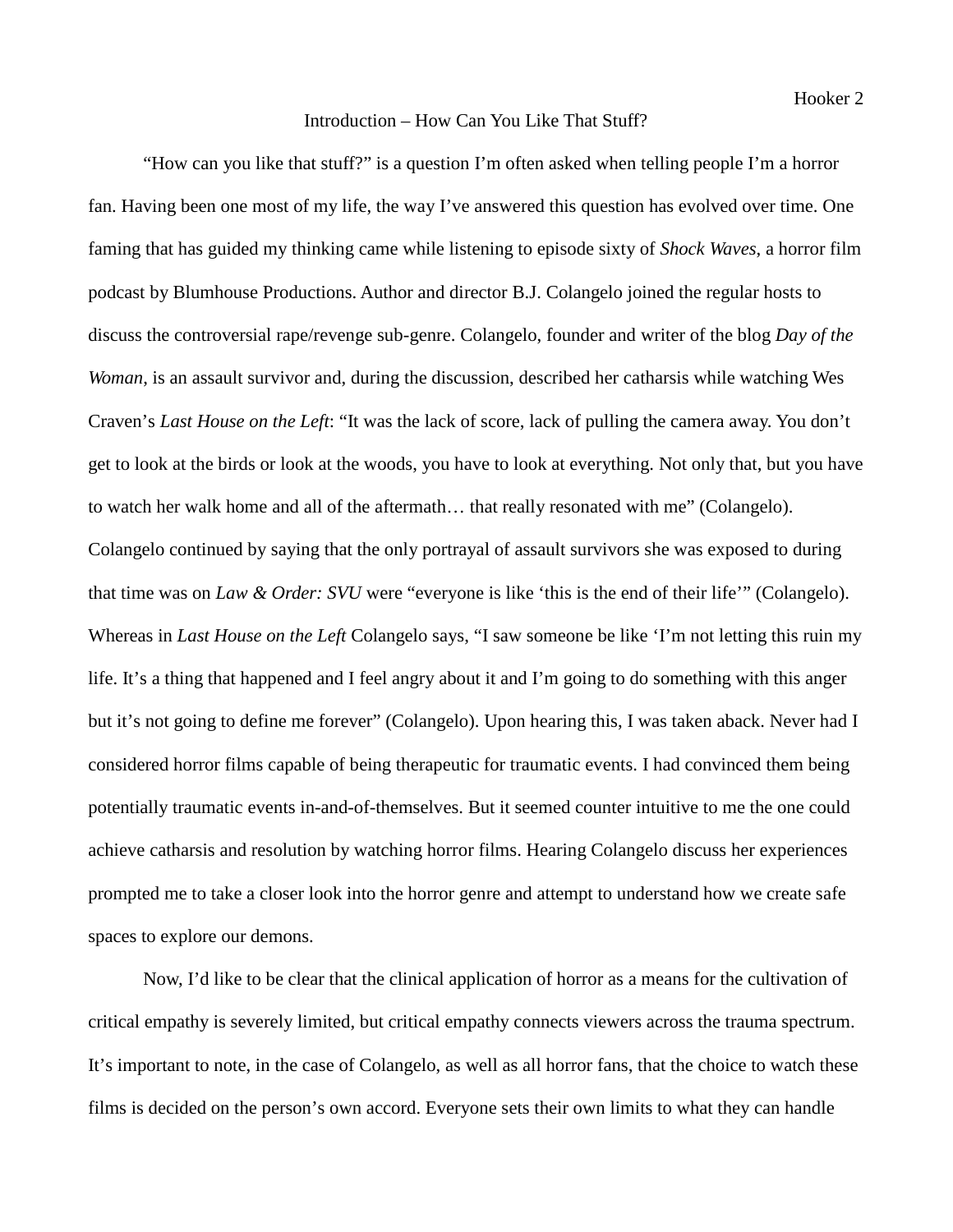# Introduction – How Can You Like That Stuff?

"How can you like that stuff?" is a question I'm often asked when telling people I'm a horror fan. Having been one most of my life, the way I've answered this question has evolved over time. One faming that has guided my thinking came while listening to episode sixty of *Shock Waves*, a horror film podcast by Blumhouse Productions. Author and director B.J. Colangelo joined the regular hosts to discuss the controversial rape/revenge sub-genre. Colangelo, founder and writer of the blog *Day of the Woman*, is an assault survivor and, during the discussion, described her catharsis while watching Wes Craven's *Last House on the Left*: "It was the lack of score, lack of pulling the camera away. You don't get to look at the birds or look at the woods, you have to look at everything. Not only that, but you have to watch her walk home and all of the aftermath… that really resonated with me" (Colangelo). Colangelo continued by saying that the only portrayal of assault survivors she was exposed to during that time was on *Law & Order: SVU* were "everyone is like 'this is the end of their life'" (Colangelo). Whereas in *Last House on the Left* Colangelo says, "I saw someone be like 'I'm not letting this ruin my life. It's a thing that happened and I feel angry about it and I'm going to do something with this anger but it's not going to define me forever" (Colangelo). Upon hearing this, I was taken aback. Never had I considered horror films capable of being therapeutic for traumatic events. I had convinced them being potentially traumatic events in-and-of-themselves. But it seemed counter intuitive to me the one could achieve catharsis and resolution by watching horror films. Hearing Colangelo discuss her experiences prompted me to take a closer look into the horror genre and attempt to understand how we create safe spaces to explore our demons.

Now, I'd like to be clear that the clinical application of horror as a means for the cultivation of critical empathy is severely limited, but critical empathy connects viewers across the trauma spectrum. It's important to note, in the case of Colangelo, as well as all horror fans, that the choice to watch these films is decided on the person's own accord. Everyone sets their own limits to what they can handle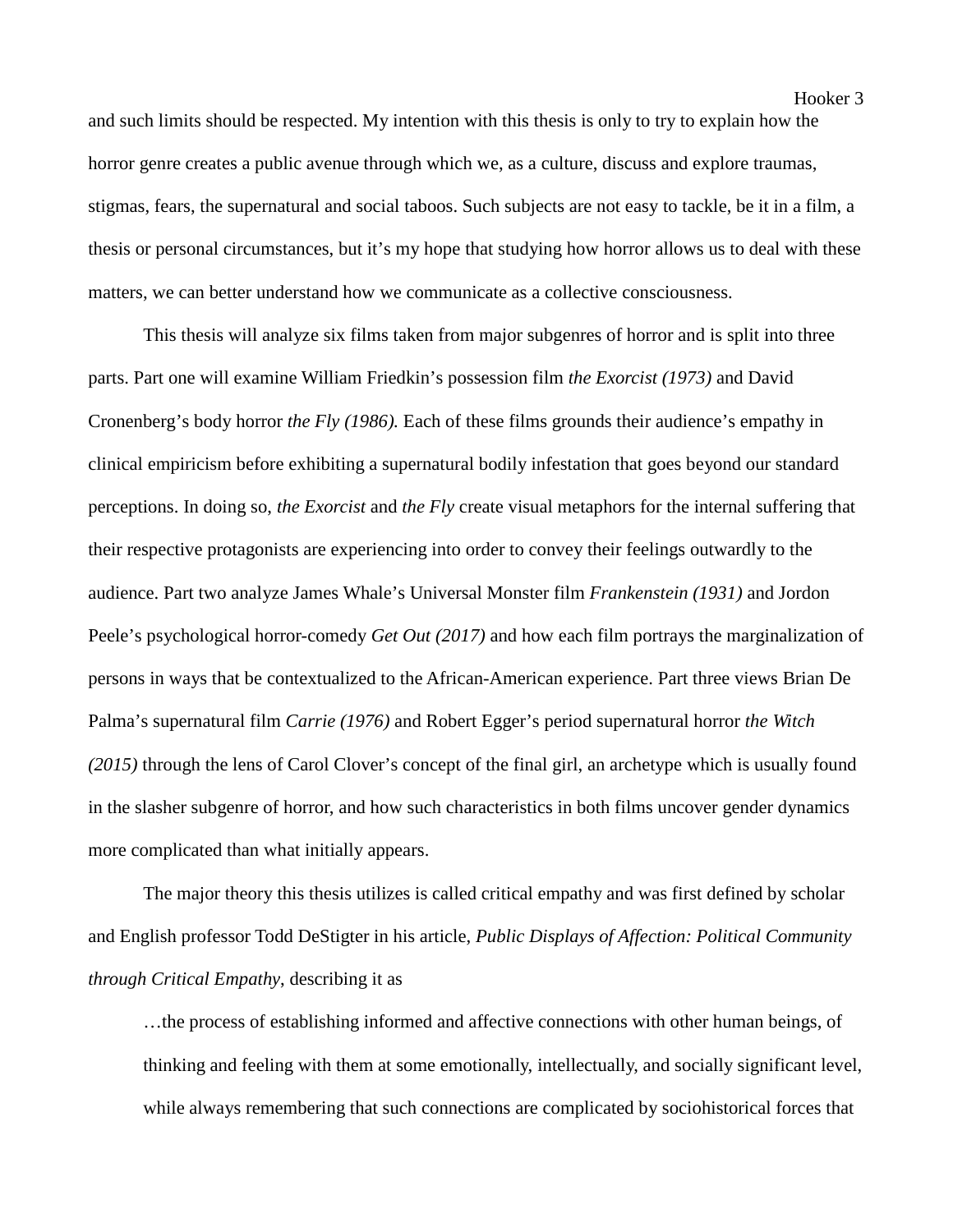and such limits should be respected. My intention with this thesis is only to try to explain how the horror genre creates a public avenue through which we, as a culture, discuss and explore traumas, stigmas, fears, the supernatural and social taboos. Such subjects are not easy to tackle, be it in a film, a thesis or personal circumstances, but it's my hope that studying how horror allows us to deal with these matters, we can better understand how we communicate as a collective consciousness.

This thesis will analyze six films taken from major subgenres of horror and is split into three parts. Part one will examine William Friedkin's possession film *the Exorcist (1973)* and David Cronenberg's body horror *the Fly (1986).* Each of these films grounds their audience's empathy in clinical empiricism before exhibiting a supernatural bodily infestation that goes beyond our standard perceptions. In doing so, *the Exorcist* and *the Fly* create visual metaphors for the internal suffering that their respective protagonists are experiencing into order to convey their feelings outwardly to the audience. Part two analyze James Whale's Universal Monster film *Frankenstein (1931)* and Jordon Peele's psychological horror-comedy *Get Out (2017)* and how each film portrays the marginalization of persons in ways that be contextualized to the African-American experience. Part three views Brian De Palma's supernatural film *Carrie (1976)* and Robert Egger's period supernatural horror *the Witch (2015)* through the lens of Carol Clover's concept of the final girl, an archetype which is usually found in the slasher subgenre of horror, and how such characteristics in both films uncover gender dynamics more complicated than what initially appears.

The major theory this thesis utilizes is called critical empathy and was first defined by scholar and English professor Todd DeStigter in his article, *Public Displays of Affection: Political Community through Critical Empathy*, describing it as

…the process of establishing informed and affective connections with other human beings, of thinking and feeling with them at some emotionally, intellectually, and socially significant level, while always remembering that such connections are complicated by sociohistorical forces that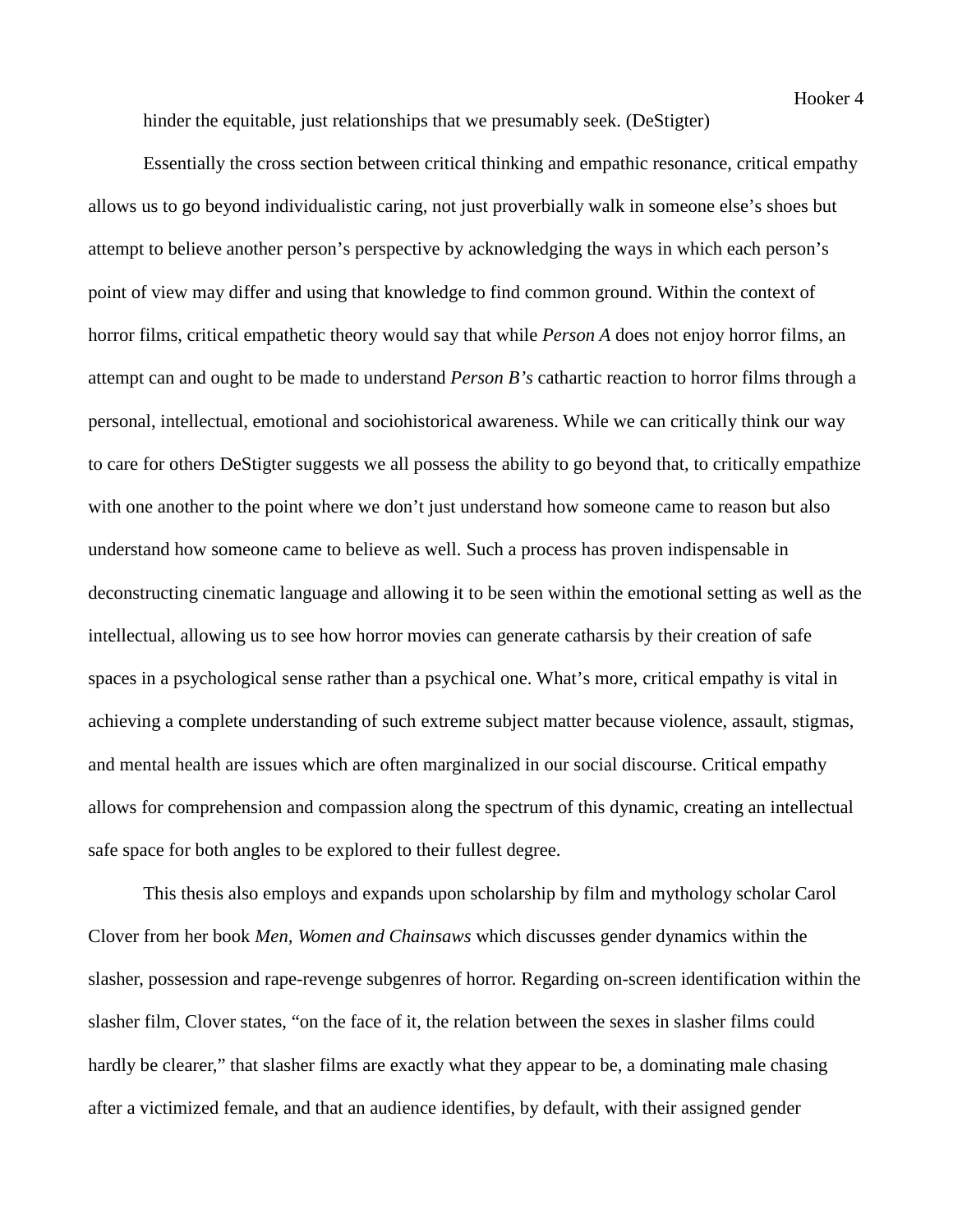hinder the equitable, just relationships that we presumably seek. (DeStigter)

Essentially the cross section between critical thinking and empathic resonance, critical empathy allows us to go beyond individualistic caring, not just proverbially walk in someone else's shoes but attempt to believe another person's perspective by acknowledging the ways in which each person's point of view may differ and using that knowledge to find common ground. Within the context of horror films, critical empathetic theory would say that while *Person A* does not enjoy horror films, an attempt can and ought to be made to understand *Person B's* cathartic reaction to horror films through a personal, intellectual, emotional and sociohistorical awareness. While we can critically think our way to care for others DeStigter suggests we all possess the ability to go beyond that, to critically empathize with one another to the point where we don't just understand how someone came to reason but also understand how someone came to believe as well. Such a process has proven indispensable in deconstructing cinematic language and allowing it to be seen within the emotional setting as well as the intellectual, allowing us to see how horror movies can generate catharsis by their creation of safe spaces in a psychological sense rather than a psychical one. What's more, critical empathy is vital in achieving a complete understanding of such extreme subject matter because violence, assault, stigmas, and mental health are issues which are often marginalized in our social discourse. Critical empathy allows for comprehension and compassion along the spectrum of this dynamic, creating an intellectual safe space for both angles to be explored to their fullest degree.

This thesis also employs and expands upon scholarship by film and mythology scholar Carol Clover from her book *Men, Women and Chainsaws* which discusses gender dynamics within the slasher, possession and rape-revenge subgenres of horror. Regarding on-screen identification within the slasher film, Clover states, "on the face of it, the relation between the sexes in slasher films could hardly be clearer," that slasher films are exactly what they appear to be, a dominating male chasing after a victimized female, and that an audience identifies, by default, with their assigned gender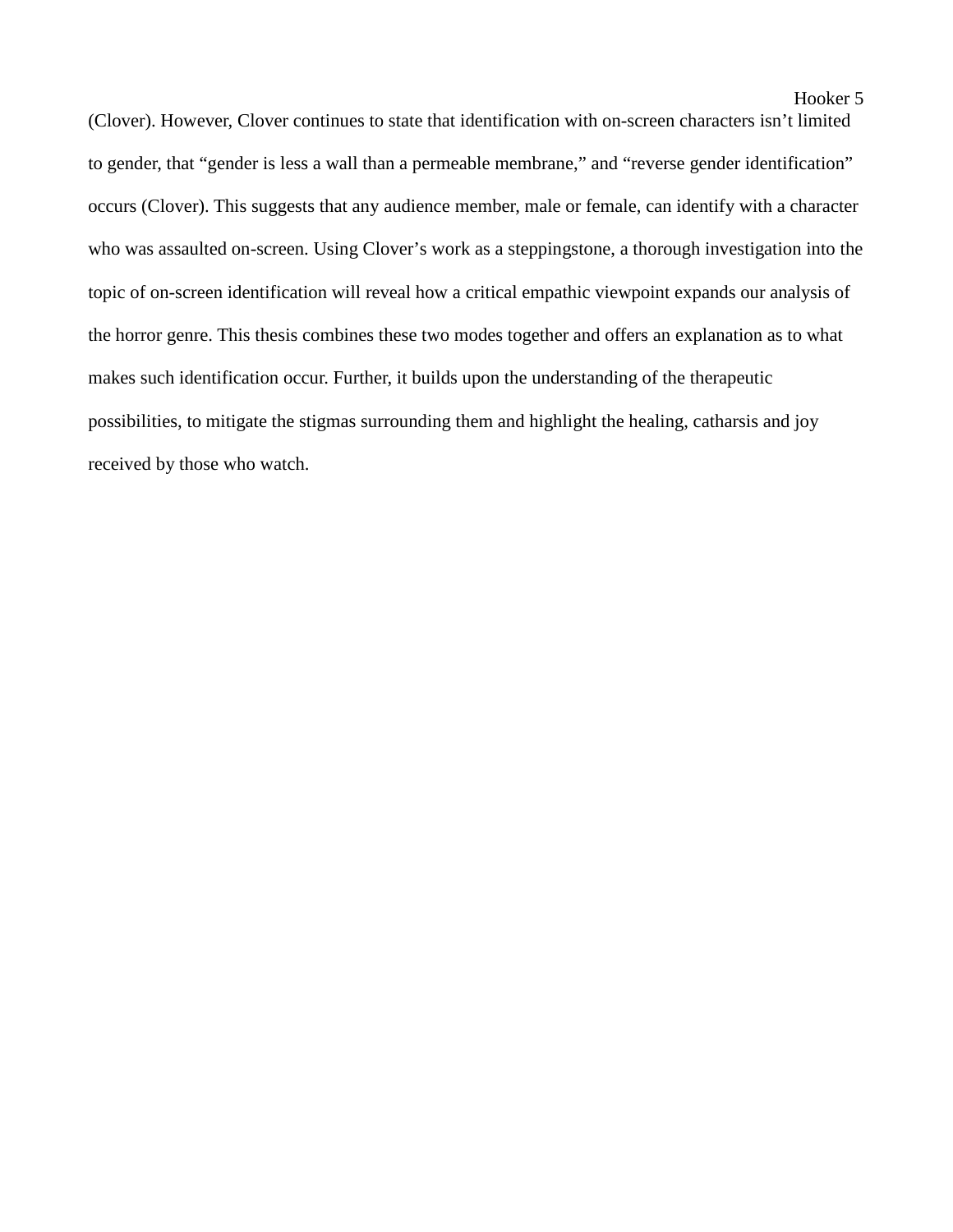(Clover). However, Clover continues to state that identification with on-screen characters isn't limited to gender, that "gender is less a wall than a permeable membrane," and "reverse gender identification" occurs (Clover). This suggests that any audience member, male or female, can identify with a character who was assaulted on-screen. Using Clover's work as a steppingstone, a thorough investigation into the topic of on-screen identification will reveal how a critical empathic viewpoint expands our analysis of the horror genre. This thesis combines these two modes together and offers an explanation as to what makes such identification occur. Further, it builds upon the understanding of the therapeutic possibilities, to mitigate the stigmas surrounding them and highlight the healing, catharsis and joy received by those who watch.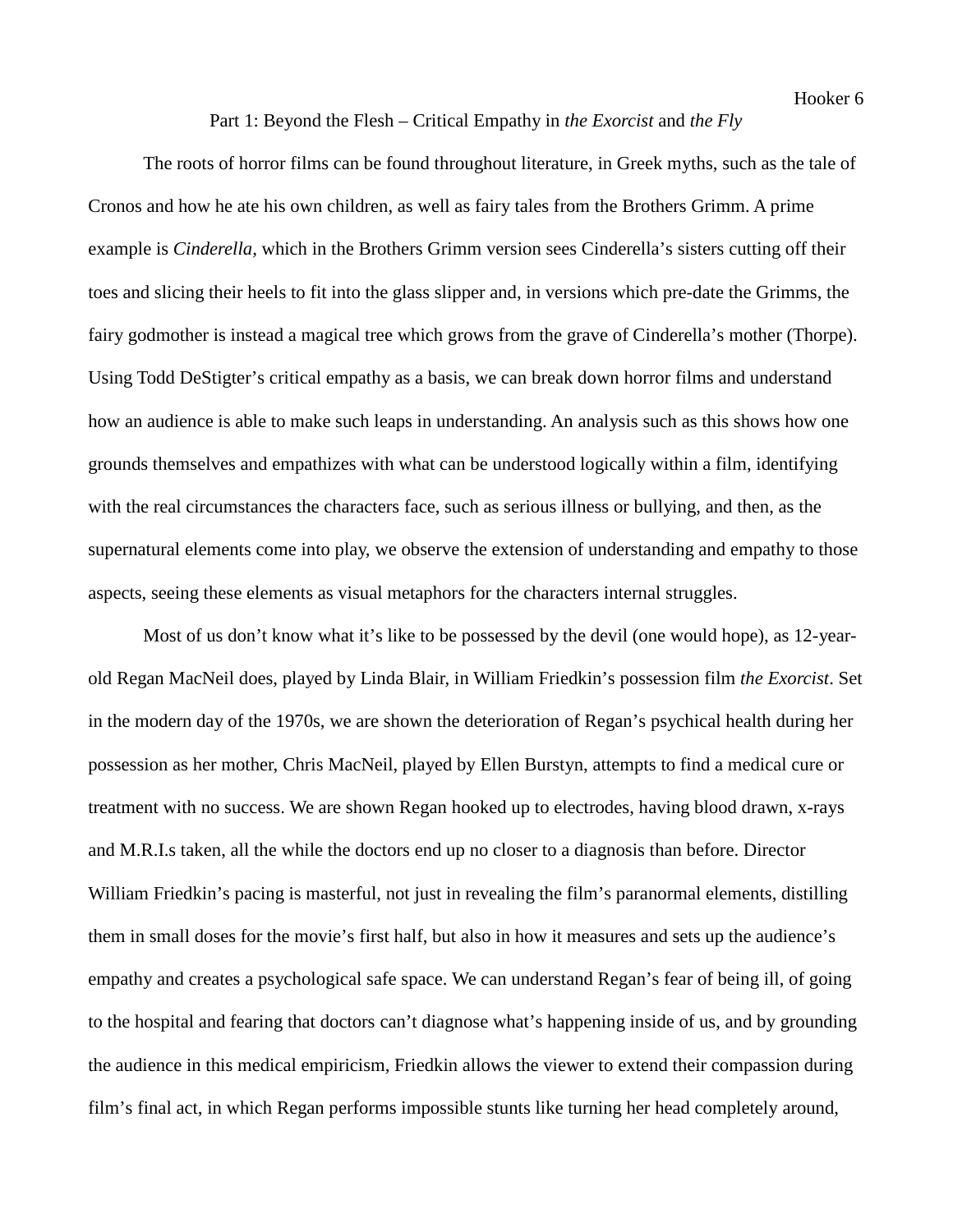# Part 1: Beyond the Flesh – Critical Empathy in *the Exorcist* and *the Fly*

The roots of horror films can be found throughout literature, in Greek myths, such as the tale of Cronos and how he ate his own children, as well as fairy tales from the Brothers Grimm. A prime example is *Cinderella,* which in the Brothers Grimm version sees Cinderella's sisters cutting off their toes and slicing their heels to fit into the glass slipper and, in versions which pre-date the Grimms, the fairy godmother is instead a magical tree which grows from the grave of Cinderella's mother (Thorpe). Using Todd DeStigter's critical empathy as a basis, we can break down horror films and understand how an audience is able to make such leaps in understanding. An analysis such as this shows how one grounds themselves and empathizes with what can be understood logically within a film, identifying with the real circumstances the characters face, such as serious illness or bullying, and then, as the supernatural elements come into play, we observe the extension of understanding and empathy to those aspects, seeing these elements as visual metaphors for the characters internal struggles.

Most of us don't know what it's like to be possessed by the devil (one would hope), as 12-yearold Regan MacNeil does, played by Linda Blair, in William Friedkin's possession film *the Exorcist*. Set in the modern day of the 1970s, we are shown the deterioration of Regan's psychical health during her possession as her mother, Chris MacNeil, played by Ellen Burstyn, attempts to find a medical cure or treatment with no success. We are shown Regan hooked up to electrodes, having blood drawn, x-rays and M.R.I.s taken, all the while the doctors end up no closer to a diagnosis than before. Director William Friedkin's pacing is masterful, not just in revealing the film's paranormal elements, distilling them in small doses for the movie's first half, but also in how it measures and sets up the audience's empathy and creates a psychological safe space. We can understand Regan's fear of being ill, of going to the hospital and fearing that doctors can't diagnose what's happening inside of us, and by grounding the audience in this medical empiricism, Friedkin allows the viewer to extend their compassion during film's final act, in which Regan performs impossible stunts like turning her head completely around,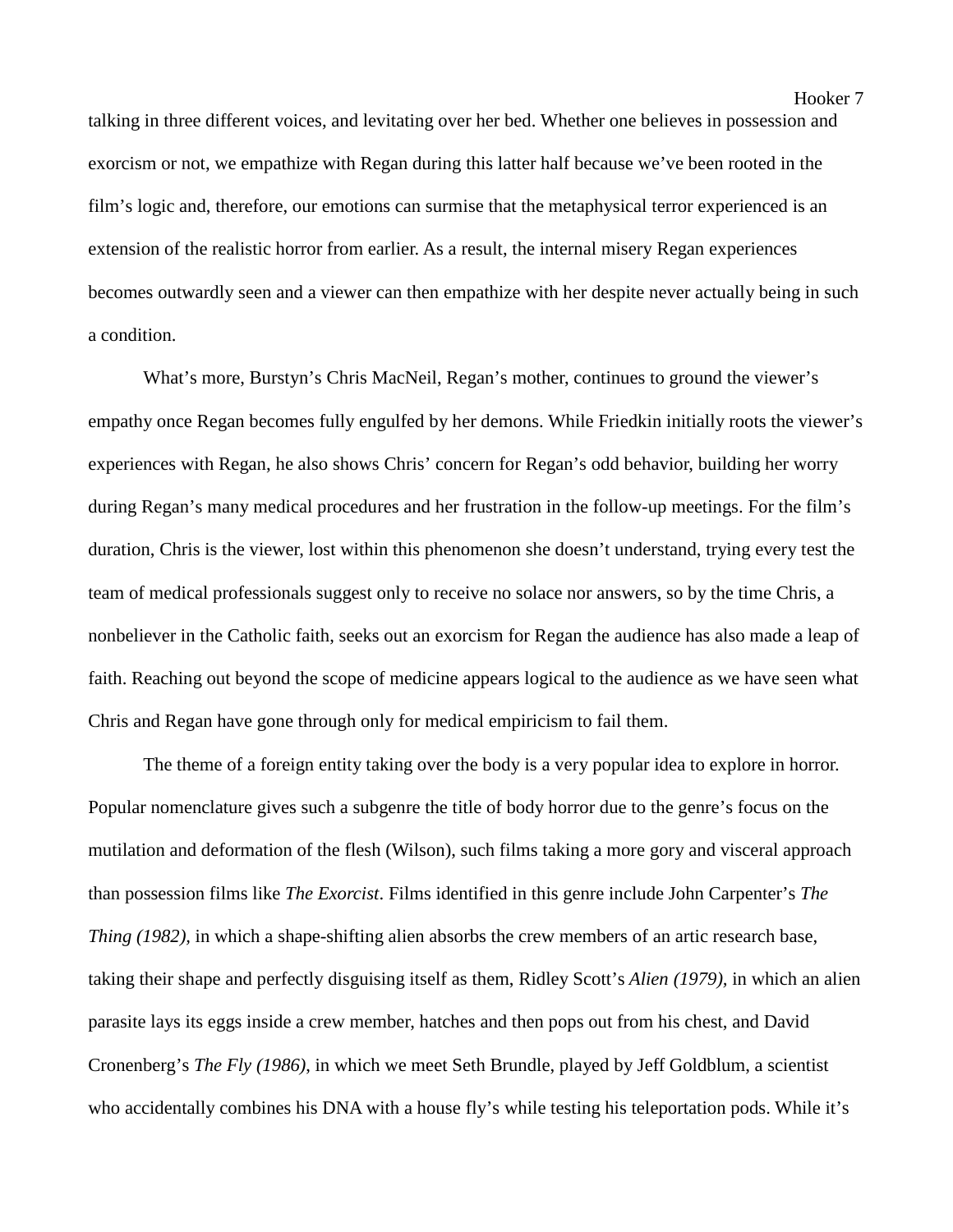talking in three different voices, and levitating over her bed. Whether one believes in possession and exorcism or not, we empathize with Regan during this latter half because we've been rooted in the film's logic and, therefore, our emotions can surmise that the metaphysical terror experienced is an extension of the realistic horror from earlier. As a result, the internal misery Regan experiences becomes outwardly seen and a viewer can then empathize with her despite never actually being in such a condition.

 What's more, Burstyn's Chris MacNeil, Regan's mother, continues to ground the viewer's empathy once Regan becomes fully engulfed by her demons. While Friedkin initially roots the viewer's experiences with Regan, he also shows Chris' concern for Regan's odd behavior, building her worry during Regan's many medical procedures and her frustration in the follow-up meetings. For the film's duration, Chris is the viewer, lost within this phenomenon she doesn't understand, trying every test the team of medical professionals suggest only to receive no solace nor answers, so by the time Chris, a nonbeliever in the Catholic faith, seeks out an exorcism for Regan the audience has also made a leap of faith. Reaching out beyond the scope of medicine appears logical to the audience as we have seen what Chris and Regan have gone through only for medical empiricism to fail them.

The theme of a foreign entity taking over the body is a very popular idea to explore in horror. Popular nomenclature gives such a subgenre the title of body horror due to the genre's focus on the mutilation and deformation of the flesh (Wilson), such films taking a more gory and visceral approach than possession films like *The Exorcist*. Films identified in this genre include John Carpenter's *The Thing (1982),* in which a shape-shifting alien absorbs the crew members of an artic research base, taking their shape and perfectly disguising itself as them, Ridley Scott's *Alien (1979),* in which an alien parasite lays its eggs inside a crew member, hatches and then pops out from his chest, and David Cronenberg's *The Fly (1986)*, in which we meet Seth Brundle, played by Jeff Goldblum, a scientist who accidentally combines his DNA with a house fly's while testing his teleportation pods. While it's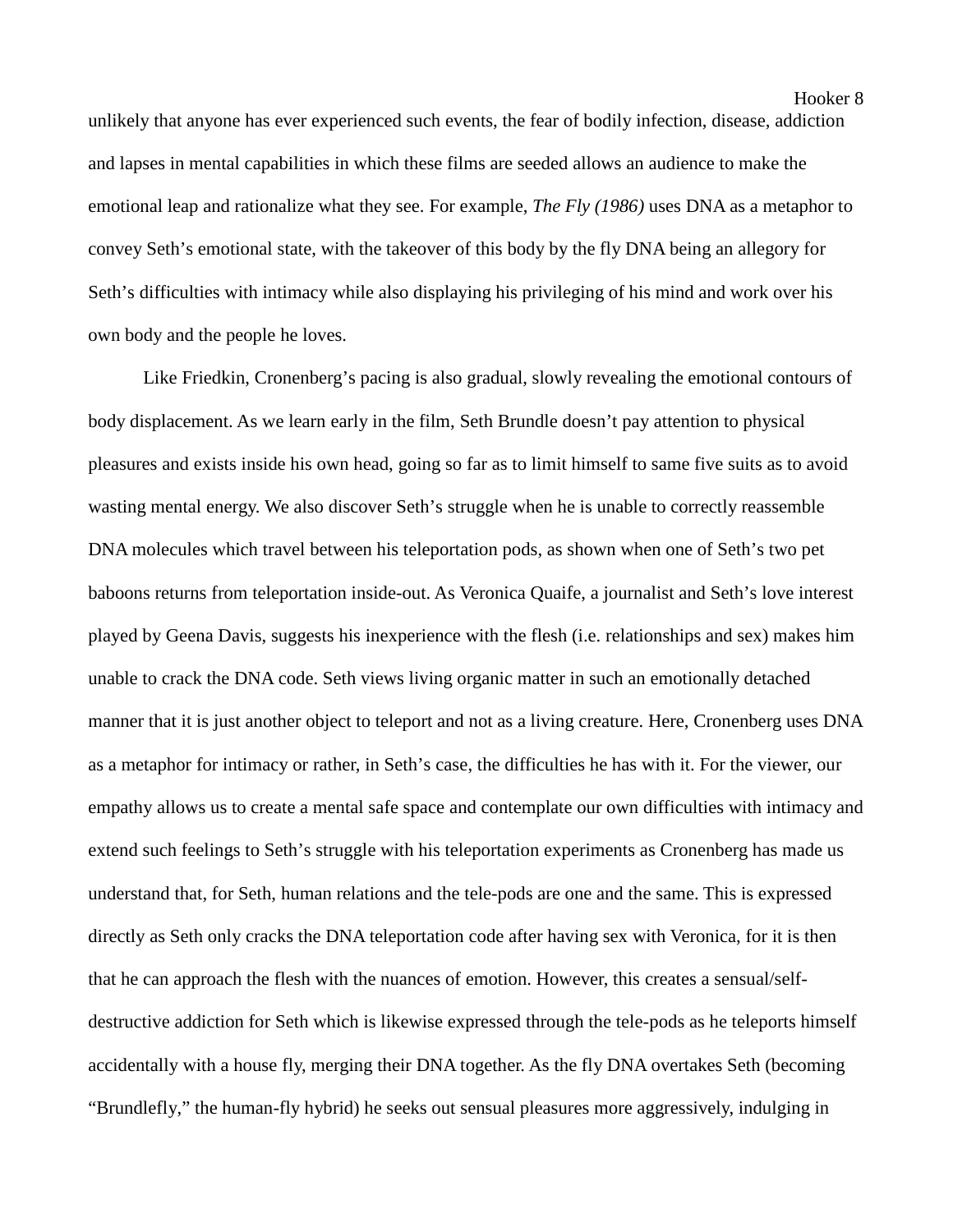unlikely that anyone has ever experienced such events, the fear of bodily infection, disease, addiction and lapses in mental capabilities in which these films are seeded allows an audience to make the emotional leap and rationalize what they see. For example, *The Fly (1986)* uses DNA as a metaphor to convey Seth's emotional state, with the takeover of this body by the fly DNA being an allegory for Seth's difficulties with intimacy while also displaying his privileging of his mind and work over his own body and the people he loves.

Like Friedkin, Cronenberg's pacing is also gradual, slowly revealing the emotional contours of body displacement. As we learn early in the film, Seth Brundle doesn't pay attention to physical pleasures and exists inside his own head, going so far as to limit himself to same five suits as to avoid wasting mental energy. We also discover Seth's struggle when he is unable to correctly reassemble DNA molecules which travel between his teleportation pods, as shown when one of Seth's two pet baboons returns from teleportation inside-out. As Veronica Quaife, a journalist and Seth's love interest played by Geena Davis, suggests his inexperience with the flesh (i.e. relationships and sex) makes him unable to crack the DNA code. Seth views living organic matter in such an emotionally detached manner that it is just another object to teleport and not as a living creature. Here, Cronenberg uses DNA as a metaphor for intimacy or rather, in Seth's case, the difficulties he has with it. For the viewer, our empathy allows us to create a mental safe space and contemplate our own difficulties with intimacy and extend such feelings to Seth's struggle with his teleportation experiments as Cronenberg has made us understand that, for Seth, human relations and the tele-pods are one and the same. This is expressed directly as Seth only cracks the DNA teleportation code after having sex with Veronica, for it is then that he can approach the flesh with the nuances of emotion. However, this creates a sensual/selfdestructive addiction for Seth which is likewise expressed through the tele-pods as he teleports himself accidentally with a house fly, merging their DNA together. As the fly DNA overtakes Seth (becoming "Brundlefly," the human-fly hybrid) he seeks out sensual pleasures more aggressively, indulging in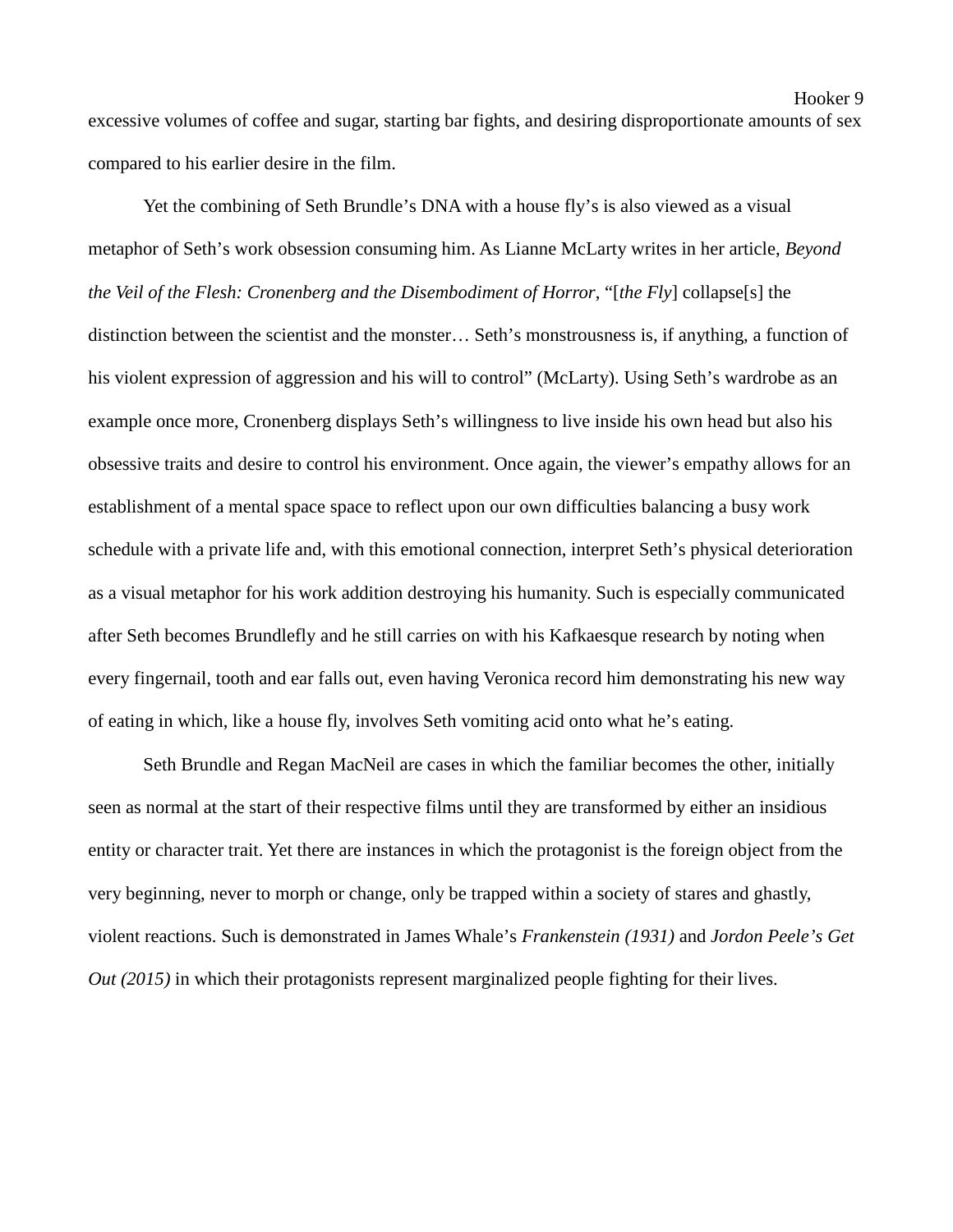excessive volumes of coffee and sugar, starting bar fights, and desiring disproportionate amounts of sex compared to his earlier desire in the film.

Yet the combining of Seth Brundle's DNA with a house fly's is also viewed as a visual metaphor of Seth's work obsession consuming him. As Lianne McLarty writes in her article, *Beyond the Veil of the Flesh: Cronenberg and the Disembodiment of Horror*, "[*the Fly*] collapse[s] the distinction between the scientist and the monster… Seth's monstrousness is, if anything, a function of his violent expression of aggression and his will to control" (McLarty). Using Seth's wardrobe as an example once more, Cronenberg displays Seth's willingness to live inside his own head but also his obsessive traits and desire to control his environment. Once again, the viewer's empathy allows for an establishment of a mental space space to reflect upon our own difficulties balancing a busy work schedule with a private life and, with this emotional connection, interpret Seth's physical deterioration as a visual metaphor for his work addition destroying his humanity. Such is especially communicated after Seth becomes Brundlefly and he still carries on with his Kafkaesque research by noting when every fingernail, tooth and ear falls out, even having Veronica record him demonstrating his new way of eating in which, like a house fly, involves Seth vomiting acid onto what he's eating.

Seth Brundle and Regan MacNeil are cases in which the familiar becomes the other, initially seen as normal at the start of their respective films until they are transformed by either an insidious entity or character trait. Yet there are instances in which the protagonist is the foreign object from the very beginning, never to morph or change, only be trapped within a society of stares and ghastly, violent reactions. Such is demonstrated in James Whale's *Frankenstein (1931)* and *Jordon Peele's Get Out (2015)* in which their protagonists represent marginalized people fighting for their lives.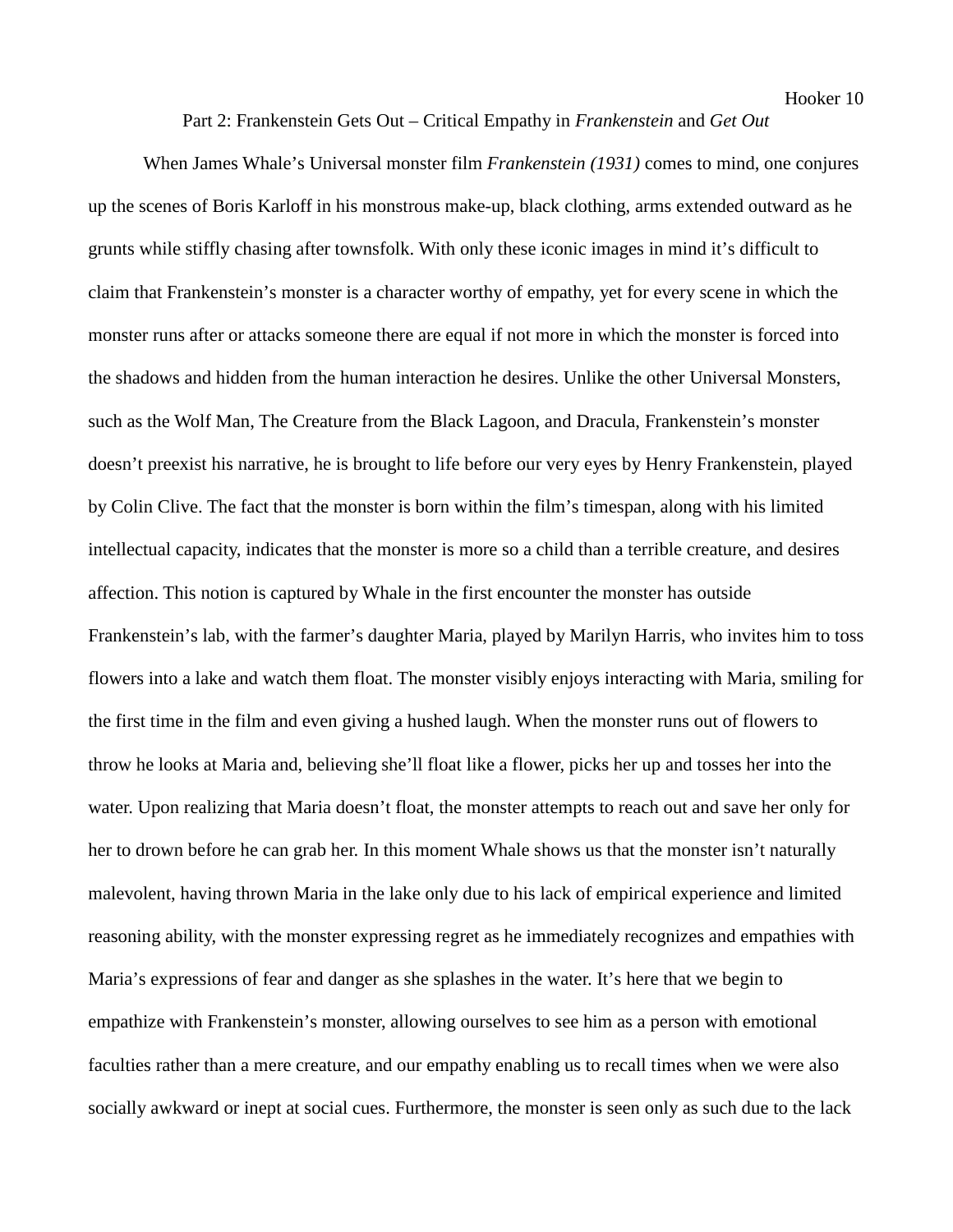# Part 2: Frankenstein Gets Out – Critical Empathy in *Frankenstein* and *Get Out*

When James Whale's Universal monster film *Frankenstein (1931)* comes to mind, one conjures up the scenes of Boris Karloff in his monstrous make-up, black clothing, arms extended outward as he grunts while stiffly chasing after townsfolk. With only these iconic images in mind it's difficult to claim that Frankenstein's monster is a character worthy of empathy, yet for every scene in which the monster runs after or attacks someone there are equal if not more in which the monster is forced into the shadows and hidden from the human interaction he desires. Unlike the other Universal Monsters, such as the Wolf Man, The Creature from the Black Lagoon, and Dracula, Frankenstein's monster doesn't preexist his narrative, he is brought to life before our very eyes by Henry Frankenstein, played by Colin Clive. The fact that the monster is born within the film's timespan, along with his limited intellectual capacity, indicates that the monster is more so a child than a terrible creature, and desires affection. This notion is captured by Whale in the first encounter the monster has outside Frankenstein's lab, with the farmer's daughter Maria, played by Marilyn Harris, who invites him to toss flowers into a lake and watch them float. The monster visibly enjoys interacting with Maria, smiling for the first time in the film and even giving a hushed laugh. When the monster runs out of flowers to throw he looks at Maria and, believing she'll float like a flower, picks her up and tosses her into the water. Upon realizing that Maria doesn't float, the monster attempts to reach out and save her only for her to drown before he can grab her. In this moment Whale shows us that the monster isn't naturally malevolent, having thrown Maria in the lake only due to his lack of empirical experience and limited reasoning ability, with the monster expressing regret as he immediately recognizes and empathies with Maria's expressions of fear and danger as she splashes in the water. It's here that we begin to empathize with Frankenstein's monster, allowing ourselves to see him as a person with emotional faculties rather than a mere creature, and our empathy enabling us to recall times when we were also socially awkward or inept at social cues. Furthermore, the monster is seen only as such due to the lack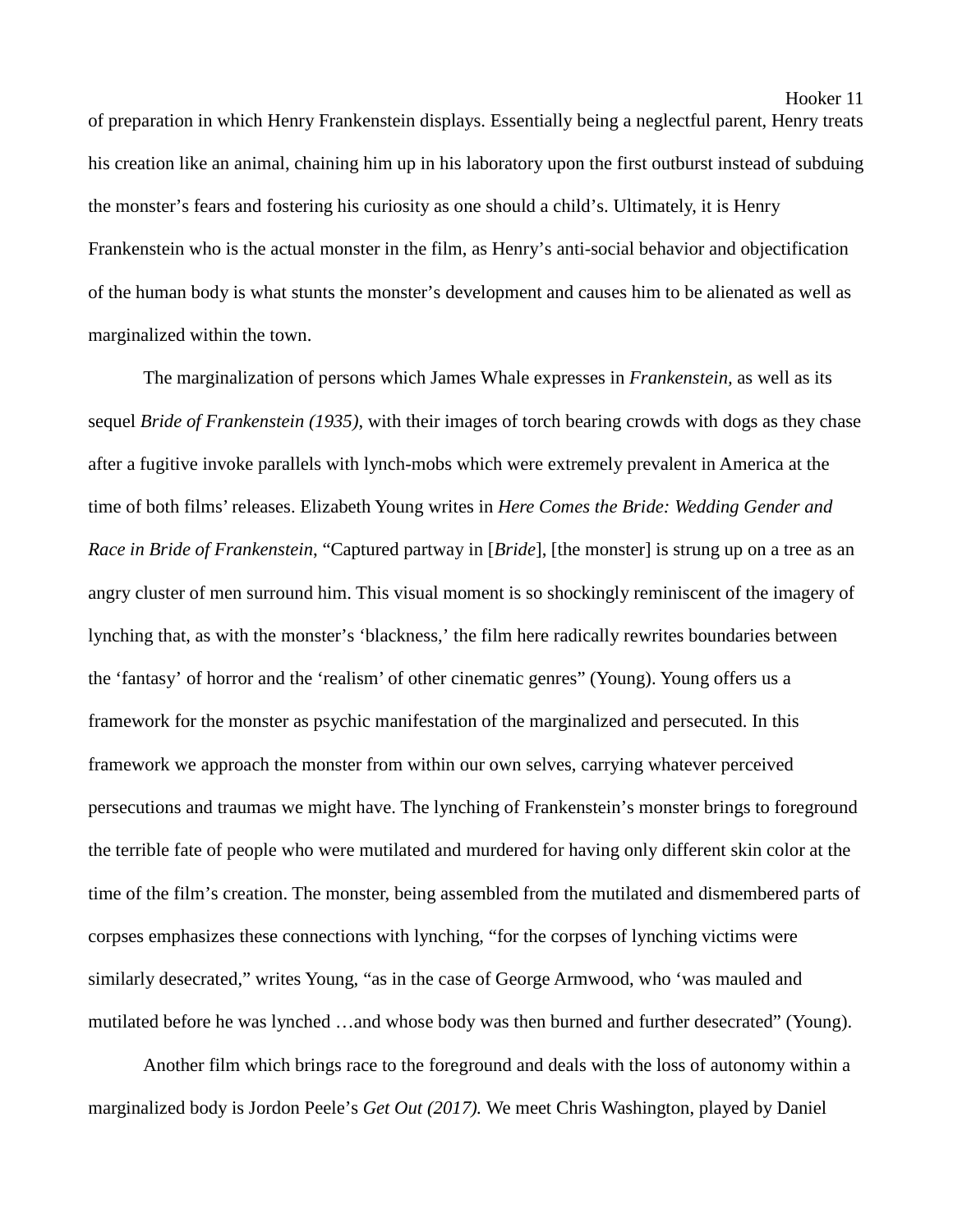of preparation in which Henry Frankenstein displays. Essentially being a neglectful parent, Henry treats his creation like an animal, chaining him up in his laboratory upon the first outburst instead of subduing the monster's fears and fostering his curiosity as one should a child's. Ultimately, it is Henry Frankenstein who is the actual monster in the film, as Henry's anti-social behavior and objectification of the human body is what stunts the monster's development and causes him to be alienated as well as marginalized within the town.

The marginalization of persons which James Whale expresses in *Frankenstein,* as well as its sequel *Bride of Frankenstein (1935)*, with their images of torch bearing crowds with dogs as they chase after a fugitive invoke parallels with lynch-mobs which were extremely prevalent in America at the time of both films' releases. Elizabeth Young writes in *Here Comes the Bride: Wedding Gender and Race in Bride of Frankenstein*, "Captured partway in [*Bride*], [the monster] is strung up on a tree as an angry cluster of men surround him. This visual moment is so shockingly reminiscent of the imagery of lynching that, as with the monster's 'blackness,' the film here radically rewrites boundaries between the 'fantasy' of horror and the 'realism' of other cinematic genres" (Young). Young offers us a framework for the monster as psychic manifestation of the marginalized and persecuted. In this framework we approach the monster from within our own selves, carrying whatever perceived persecutions and traumas we might have. The lynching of Frankenstein's monster brings to foreground the terrible fate of people who were mutilated and murdered for having only different skin color at the time of the film's creation. The monster, being assembled from the mutilated and dismembered parts of corpses emphasizes these connections with lynching, "for the corpses of lynching victims were similarly desecrated," writes Young, "as in the case of George Armwood, who 'was mauled and mutilated before he was lynched …and whose body was then burned and further desecrated" (Young).

Another film which brings race to the foreground and deals with the loss of autonomy within a marginalized body is Jordon Peele's *Get Out (2017).* We meet Chris Washington, played by Daniel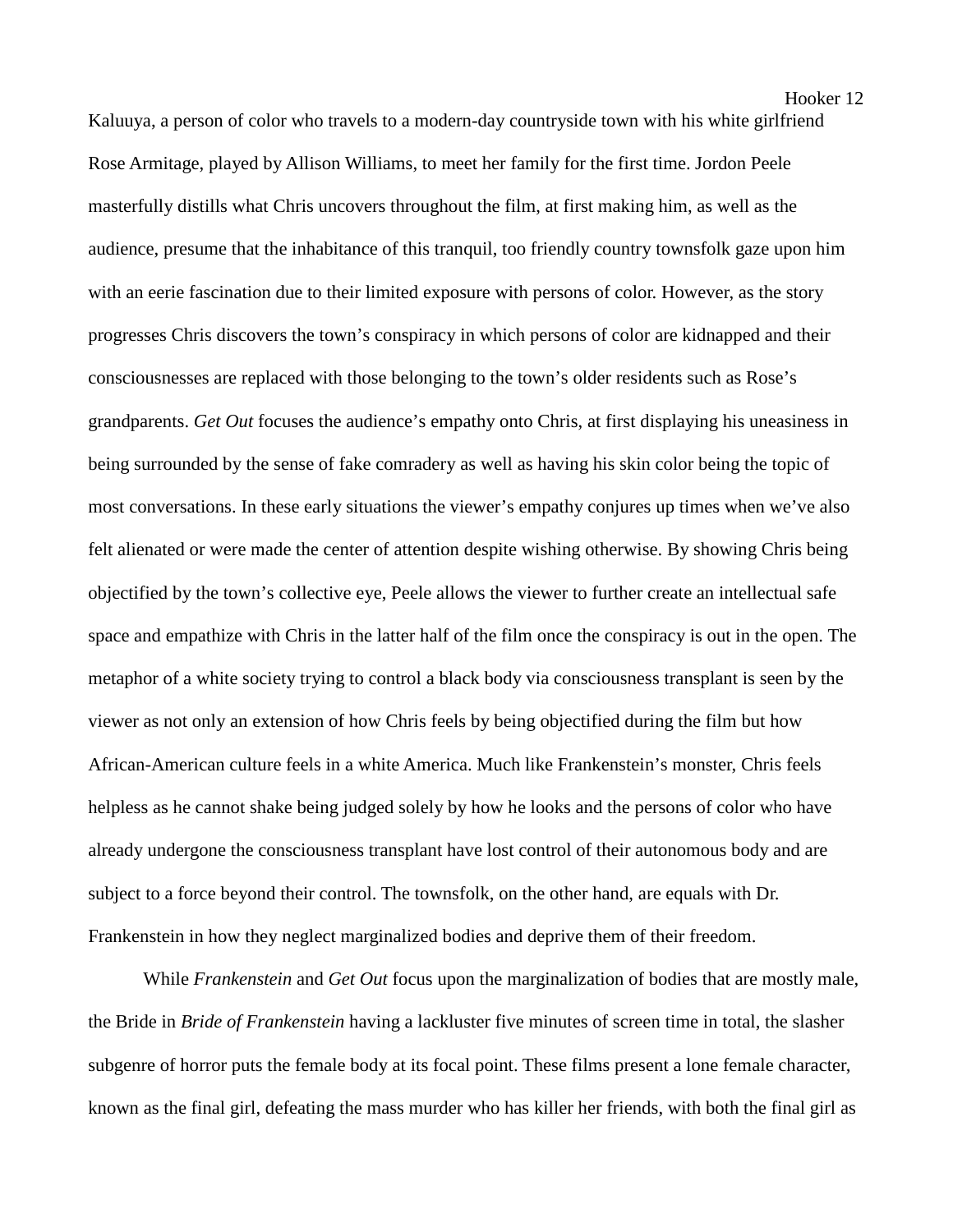Kaluuya, a person of color who travels to a modern-day countryside town with his white girlfriend Rose Armitage, played by Allison Williams, to meet her family for the first time. Jordon Peele masterfully distills what Chris uncovers throughout the film, at first making him, as well as the audience, presume that the inhabitance of this tranquil, too friendly country townsfolk gaze upon him with an eerie fascination due to their limited exposure with persons of color. However, as the story progresses Chris discovers the town's conspiracy in which persons of color are kidnapped and their consciousnesses are replaced with those belonging to the town's older residents such as Rose's grandparents. *Get Out* focuses the audience's empathy onto Chris, at first displaying his uneasiness in being surrounded by the sense of fake comradery as well as having his skin color being the topic of most conversations. In these early situations the viewer's empathy conjures up times when we've also felt alienated or were made the center of attention despite wishing otherwise. By showing Chris being objectified by the town's collective eye, Peele allows the viewer to further create an intellectual safe space and empathize with Chris in the latter half of the film once the conspiracy is out in the open. The metaphor of a white society trying to control a black body via consciousness transplant is seen by the viewer as not only an extension of how Chris feels by being objectified during the film but how African-American culture feels in a white America. Much like Frankenstein's monster, Chris feels helpless as he cannot shake being judged solely by how he looks and the persons of color who have already undergone the consciousness transplant have lost control of their autonomous body and are subject to a force beyond their control. The townsfolk, on the other hand, are equals with Dr. Frankenstein in how they neglect marginalized bodies and deprive them of their freedom.

While *Frankenstein* and *Get Out* focus upon the marginalization of bodies that are mostly male, the Bride in *Bride of Frankenstein* having a lackluster five minutes of screen time in total, the slasher subgenre of horror puts the female body at its focal point. These films present a lone female character, known as the final girl, defeating the mass murder who has killer her friends, with both the final girl as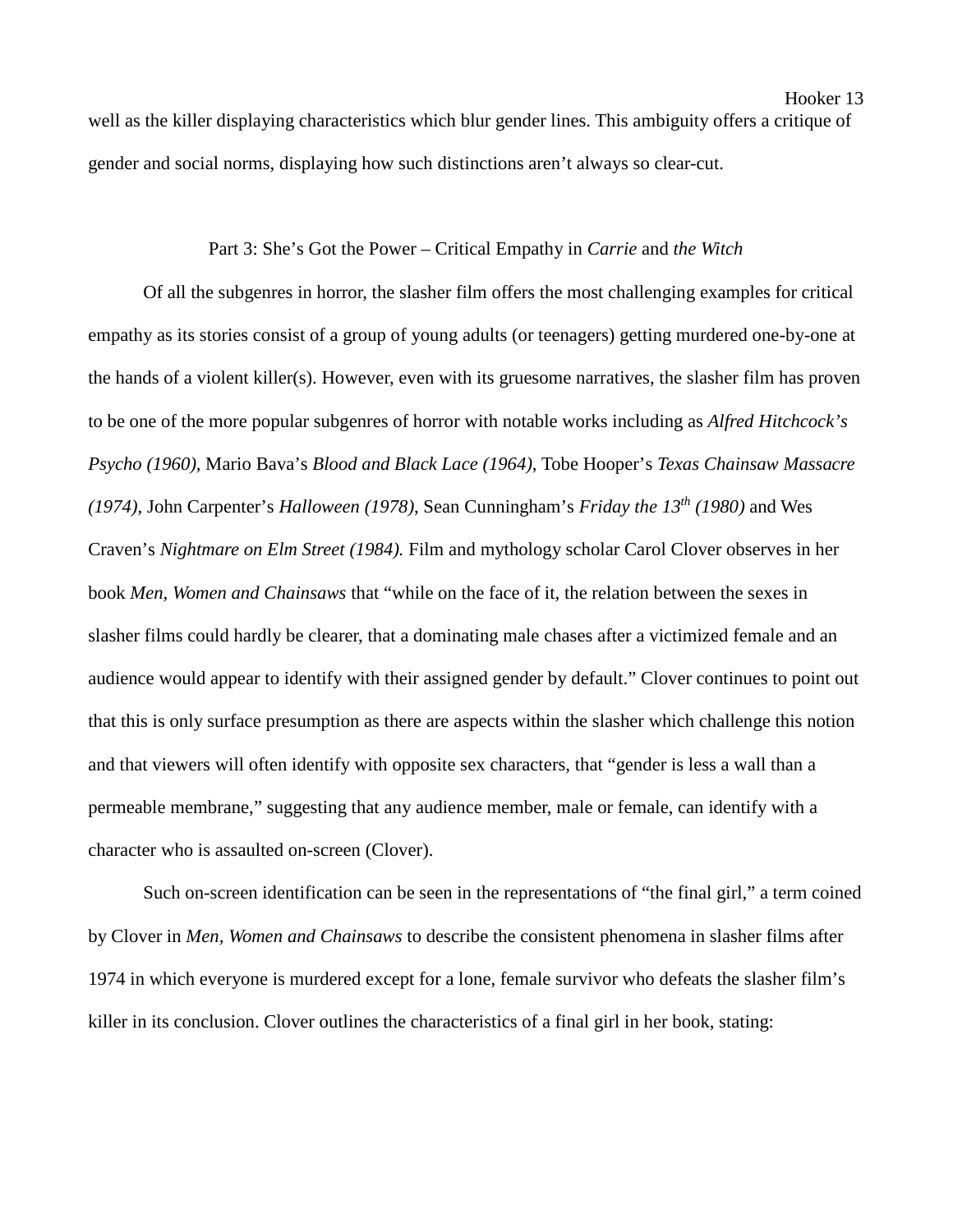well as the killer displaying characteristics which blur gender lines. This ambiguity offers a critique of gender and social norms, displaying how such distinctions aren't always so clear-cut.

### Part 3: She's Got the Power – Critical Empathy in *Carrie* and *the Witch*

Of all the subgenres in horror, the slasher film offers the most challenging examples for critical empathy as its stories consist of a group of young adults (or teenagers) getting murdered one-by-one at the hands of a violent killer(s). However, even with its gruesome narratives, the slasher film has proven to be one of the more popular subgenres of horror with notable works including as *Alfred Hitchcock's Psycho (1960),* Mario Bava's *Blood and Black Lace (1964)*, Tobe Hooper's *Texas Chainsaw Massacre (1974)*, John Carpenter's *Halloween (1978)*, Sean Cunningham's *Friday the 13th (1980)* and Wes Craven's *Nightmare on Elm Street (1984).* Film and mythology scholar Carol Clover observes in her book *Men, Women and Chainsaws* that "while on the face of it, the relation between the sexes in slasher films could hardly be clearer, that a dominating male chases after a victimized female and an audience would appear to identify with their assigned gender by default." Clover continues to point out that this is only surface presumption as there are aspects within the slasher which challenge this notion and that viewers will often identify with opposite sex characters, that "gender is less a wall than a permeable membrane," suggesting that any audience member, male or female, can identify with a character who is assaulted on-screen (Clover).

Such on-screen identification can be seen in the representations of "the final girl," a term coined by Clover in *Men, Women and Chainsaws* to describe the consistent phenomena in slasher films after 1974 in which everyone is murdered except for a lone, female survivor who defeats the slasher film's killer in its conclusion. Clover outlines the characteristics of a final girl in her book, stating: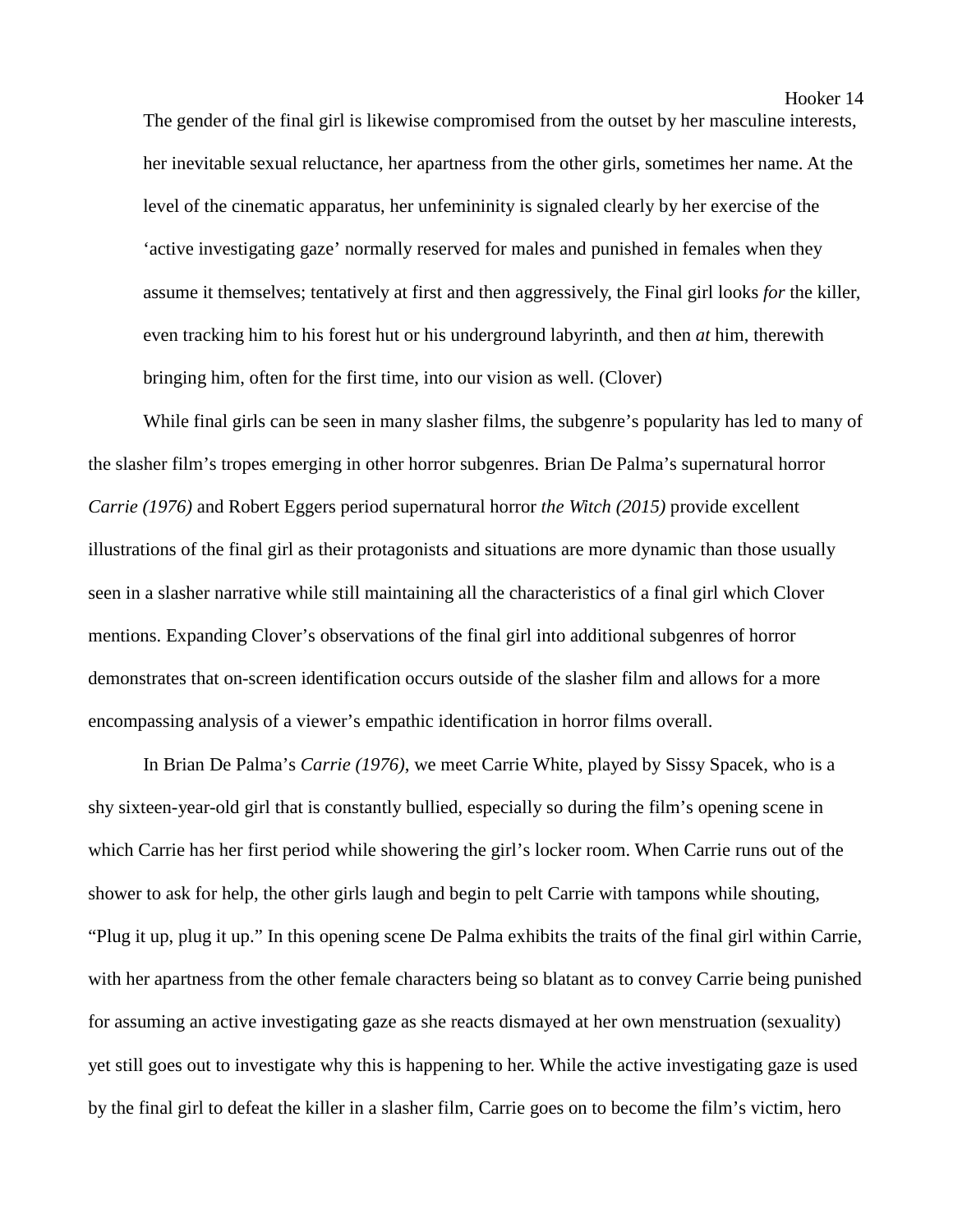The gender of the final girl is likewise compromised from the outset by her masculine interests, her inevitable sexual reluctance, her apartness from the other girls, sometimes her name. At the level of the cinematic apparatus, her unfemininity is signaled clearly by her exercise of the 'active investigating gaze' normally reserved for males and punished in females when they assume it themselves; tentatively at first and then aggressively, the Final girl looks *for* the killer, even tracking him to his forest hut or his underground labyrinth, and then *at* him, therewith bringing him, often for the first time, into our vision as well. (Clover)

While final girls can be seen in many slasher films, the subgenre's popularity has led to many of the slasher film's tropes emerging in other horror subgenres. Brian De Palma's supernatural horror *Carrie (1976)* and Robert Eggers period supernatural horror *the Witch (2015)* provide excellent illustrations of the final girl as their protagonists and situations are more dynamic than those usually seen in a slasher narrative while still maintaining all the characteristics of a final girl which Clover mentions. Expanding Clover's observations of the final girl into additional subgenres of horror demonstrates that on-screen identification occurs outside of the slasher film and allows for a more encompassing analysis of a viewer's empathic identification in horror films overall.

In Brian De Palma's *Carrie (1976)*, we meet Carrie White, played by Sissy Spacek, who is a shy sixteen-year-old girl that is constantly bullied, especially so during the film's opening scene in which Carrie has her first period while showering the girl's locker room. When Carrie runs out of the shower to ask for help, the other girls laugh and begin to pelt Carrie with tampons while shouting, "Plug it up, plug it up." In this opening scene De Palma exhibits the traits of the final girl within Carrie, with her apartness from the other female characters being so blatant as to convey Carrie being punished for assuming an active investigating gaze as she reacts dismayed at her own menstruation (sexuality) yet still goes out to investigate why this is happening to her. While the active investigating gaze is used by the final girl to defeat the killer in a slasher film, Carrie goes on to become the film's victim, hero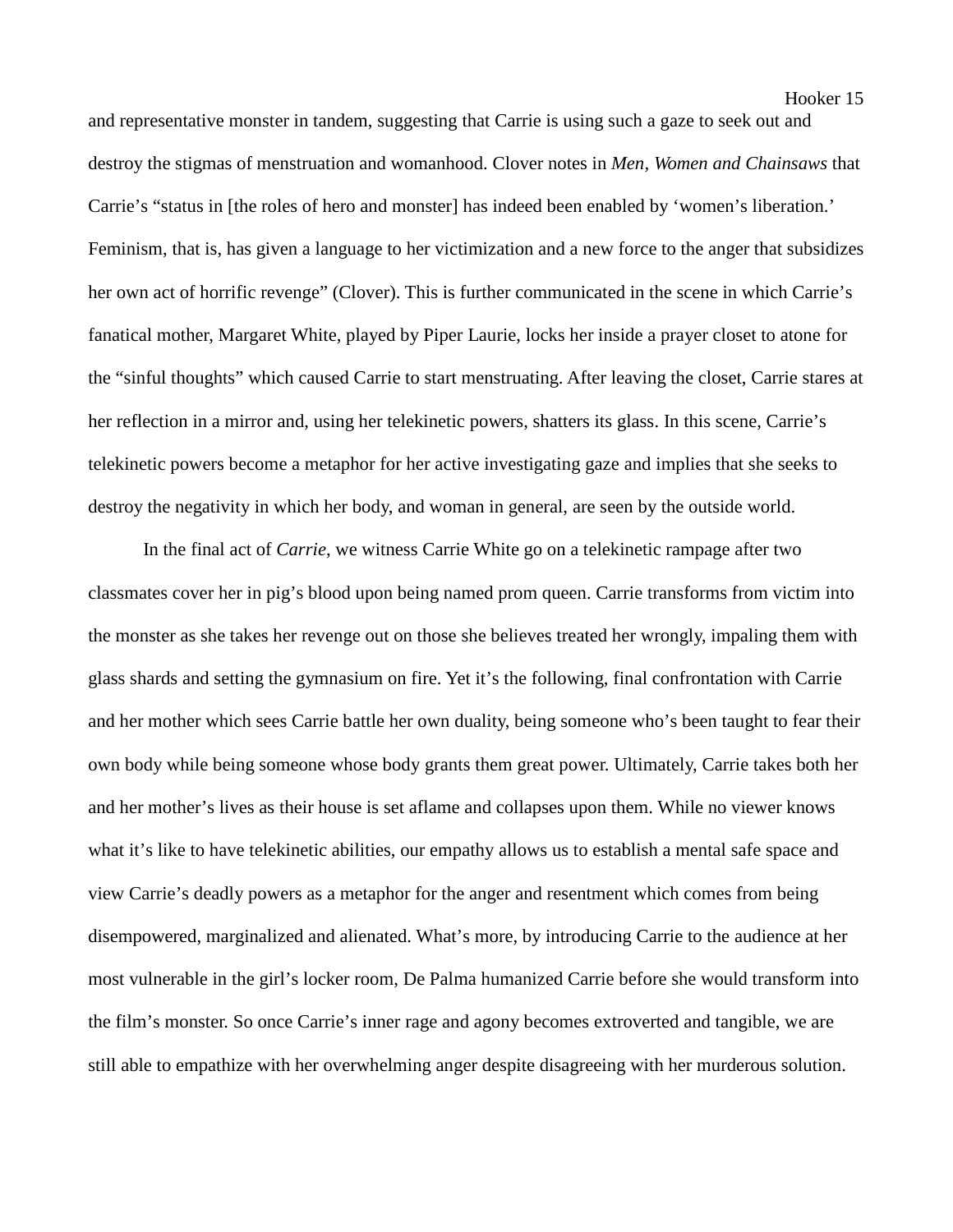and representative monster in tandem, suggesting that Carrie is using such a gaze to seek out and destroy the stigmas of menstruation and womanhood. Clover notes in *Men, Women and Chainsaws* that Carrie's "status in [the roles of hero and monster] has indeed been enabled by 'women's liberation.' Feminism, that is, has given a language to her victimization and a new force to the anger that subsidizes her own act of horrific revenge" (Clover). This is further communicated in the scene in which Carrie's fanatical mother, Margaret White, played by Piper Laurie, locks her inside a prayer closet to atone for the "sinful thoughts" which caused Carrie to start menstruating. After leaving the closet, Carrie stares at her reflection in a mirror and, using her telekinetic powers, shatters its glass. In this scene, Carrie's telekinetic powers become a metaphor for her active investigating gaze and implies that she seeks to destroy the negativity in which her body, and woman in general, are seen by the outside world.

In the final act of *Carrie*, we witness Carrie White go on a telekinetic rampage after two classmates cover her in pig's blood upon being named prom queen. Carrie transforms from victim into the monster as she takes her revenge out on those she believes treated her wrongly, impaling them with glass shards and setting the gymnasium on fire. Yet it's the following, final confrontation with Carrie and her mother which sees Carrie battle her own duality, being someone who's been taught to fear their own body while being someone whose body grants them great power. Ultimately, Carrie takes both her and her mother's lives as their house is set aflame and collapses upon them. While no viewer knows what it's like to have telekinetic abilities, our empathy allows us to establish a mental safe space and view Carrie's deadly powers as a metaphor for the anger and resentment which comes from being disempowered, marginalized and alienated. What's more, by introducing Carrie to the audience at her most vulnerable in the girl's locker room, De Palma humanized Carrie before she would transform into the film's monster. So once Carrie's inner rage and agony becomes extroverted and tangible, we are still able to empathize with her overwhelming anger despite disagreeing with her murderous solution.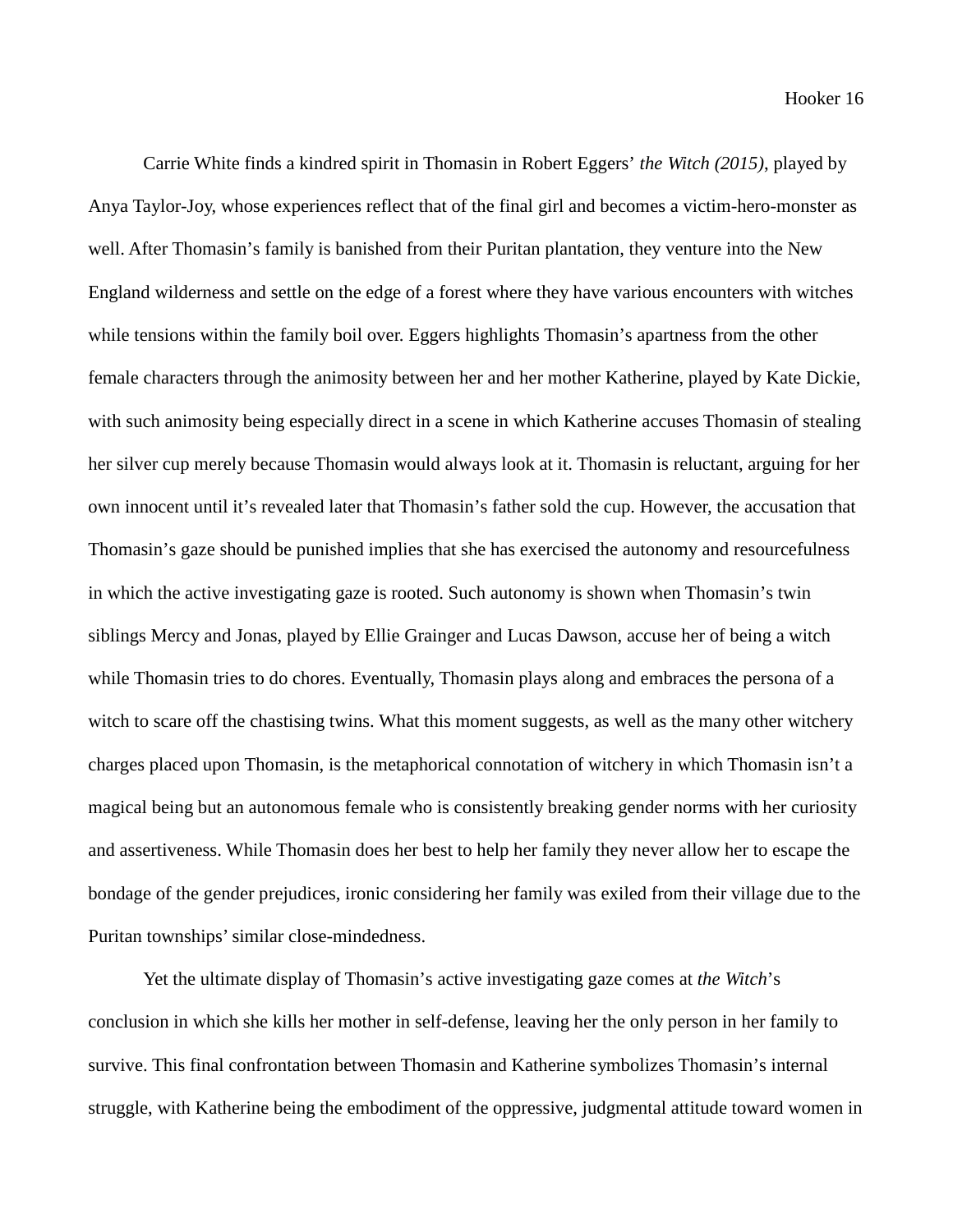Carrie White finds a kindred spirit in Thomasin in Robert Eggers' *the Witch (2015)*, played by Anya Taylor-Joy, whose experiences reflect that of the final girl and becomes a victim-hero-monster as well. After Thomasin's family is banished from their Puritan plantation, they venture into the New England wilderness and settle on the edge of a forest where they have various encounters with witches while tensions within the family boil over. Eggers highlights Thomasin's apartness from the other female characters through the animosity between her and her mother Katherine, played by Kate Dickie, with such animosity being especially direct in a scene in which Katherine accuses Thomasin of stealing her silver cup merely because Thomasin would always look at it. Thomasin is reluctant, arguing for her own innocent until it's revealed later that Thomasin's father sold the cup. However, the accusation that Thomasin's gaze should be punished implies that she has exercised the autonomy and resourcefulness in which the active investigating gaze is rooted. Such autonomy is shown when Thomasin's twin siblings Mercy and Jonas, played by Ellie Grainger and Lucas Dawson, accuse her of being a witch while Thomasin tries to do chores. Eventually, Thomasin plays along and embraces the persona of a witch to scare off the chastising twins. What this moment suggests, as well as the many other witchery charges placed upon Thomasin, is the metaphorical connotation of witchery in which Thomasin isn't a magical being but an autonomous female who is consistently breaking gender norms with her curiosity and assertiveness. While Thomasin does her best to help her family they never allow her to escape the bondage of the gender prejudices, ironic considering her family was exiled from their village due to the Puritan townships' similar close-mindedness.

Yet the ultimate display of Thomasin's active investigating gaze comes at *the Witch*'s conclusion in which she kills her mother in self-defense, leaving her the only person in her family to survive. This final confrontation between Thomasin and Katherine symbolizes Thomasin's internal struggle, with Katherine being the embodiment of the oppressive, judgmental attitude toward women in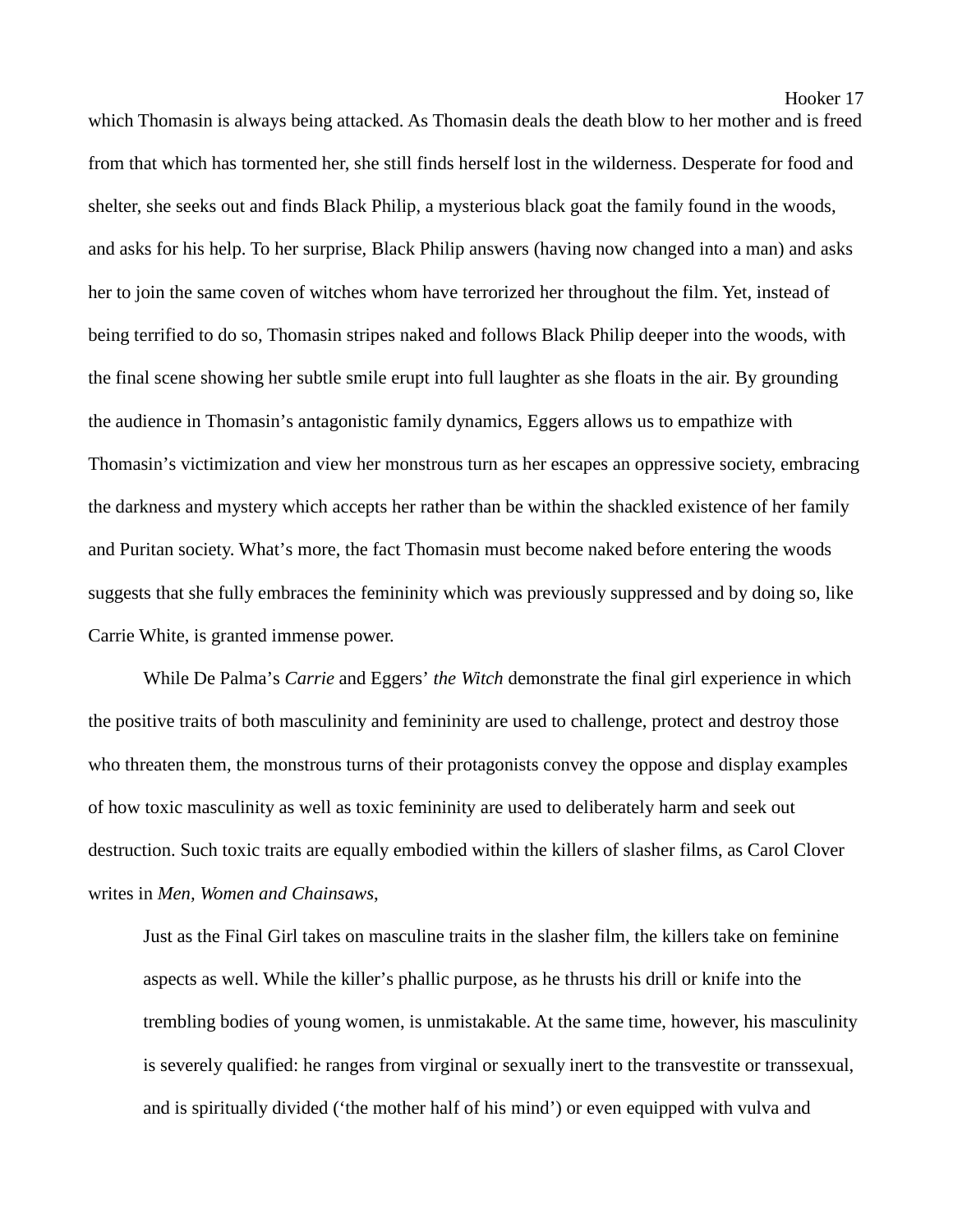which Thomasin is always being attacked. As Thomasin deals the death blow to her mother and is freed from that which has tormented her, she still finds herself lost in the wilderness. Desperate for food and shelter, she seeks out and finds Black Philip, a mysterious black goat the family found in the woods, and asks for his help. To her surprise, Black Philip answers (having now changed into a man) and asks her to join the same coven of witches whom have terrorized her throughout the film. Yet, instead of being terrified to do so, Thomasin stripes naked and follows Black Philip deeper into the woods, with the final scene showing her subtle smile erupt into full laughter as she floats in the air. By grounding the audience in Thomasin's antagonistic family dynamics, Eggers allows us to empathize with Thomasin's victimization and view her monstrous turn as her escapes an oppressive society, embracing the darkness and mystery which accepts her rather than be within the shackled existence of her family and Puritan society. What's more, the fact Thomasin must become naked before entering the woods suggests that she fully embraces the femininity which was previously suppressed and by doing so, like Carrie White, is granted immense power.

While De Palma's *Carrie* and Eggers' *the Witch* demonstrate the final girl experience in which the positive traits of both masculinity and femininity are used to challenge, protect and destroy those who threaten them, the monstrous turns of their protagonists convey the oppose and display examples of how toxic masculinity as well as toxic femininity are used to deliberately harm and seek out destruction. Such toxic traits are equally embodied within the killers of slasher films, as Carol Clover writes in *Men, Women and Chainsaws*,

Just as the Final Girl takes on masculine traits in the slasher film, the killers take on feminine aspects as well. While the killer's phallic purpose, as he thrusts his drill or knife into the trembling bodies of young women, is unmistakable. At the same time, however, his masculinity is severely qualified: he ranges from virginal or sexually inert to the transvestite or transsexual, and is spiritually divided ('the mother half of his mind') or even equipped with vulva and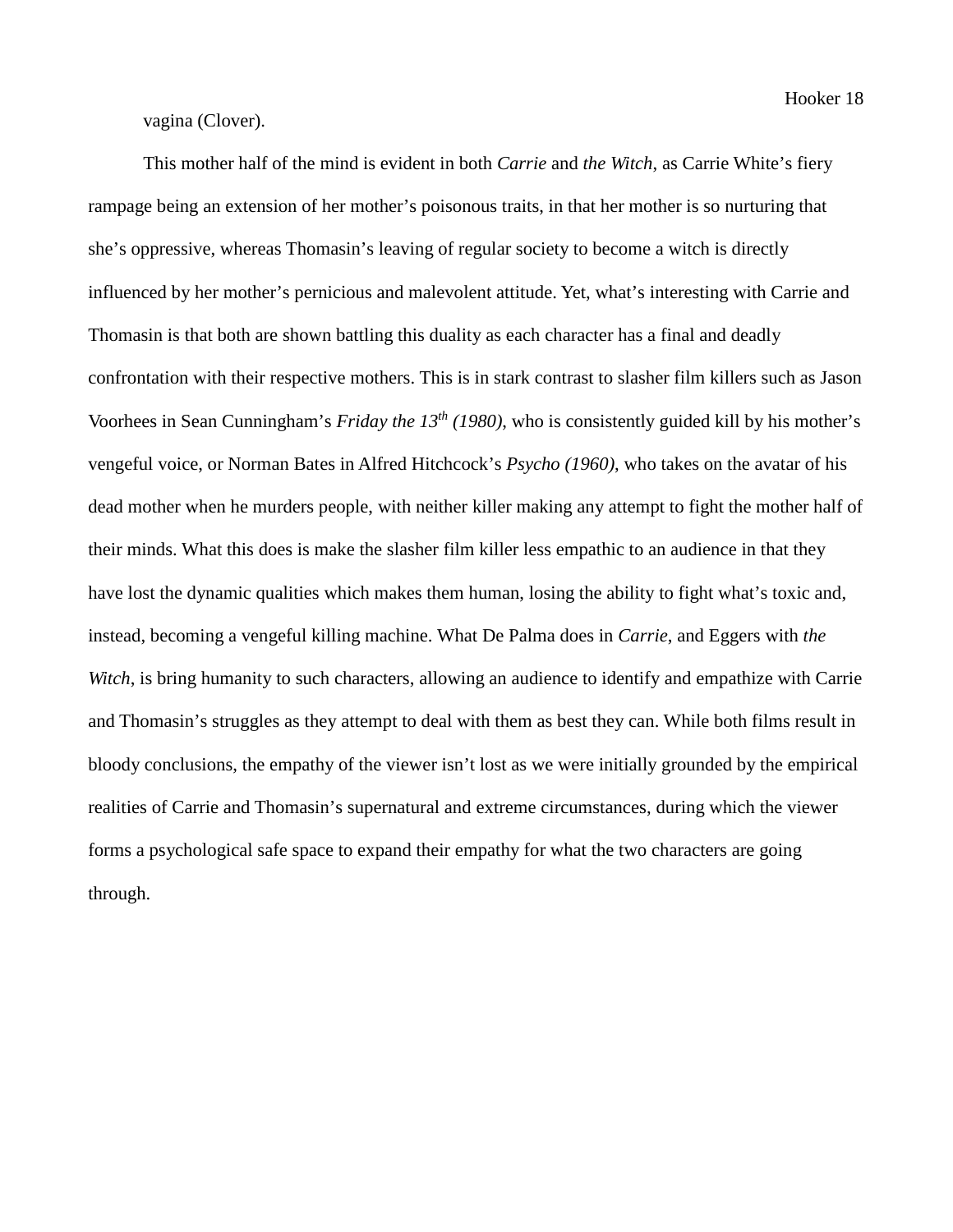vagina (Clover).

This mother half of the mind is evident in both *Carrie* and *the Witch*, as Carrie White's fiery rampage being an extension of her mother's poisonous traits, in that her mother is so nurturing that she's oppressive, whereas Thomasin's leaving of regular society to become a witch is directly influenced by her mother's pernicious and malevolent attitude. Yet, what's interesting with Carrie and Thomasin is that both are shown battling this duality as each character has a final and deadly confrontation with their respective mothers. This is in stark contrast to slasher film killers such as Jason Voorhees in Sean Cunningham's *Friday the 13th (1980)*, who is consistently guided kill by his mother's vengeful voice, or Norman Bates in Alfred Hitchcock's *Psycho (1960)*, who takes on the avatar of his dead mother when he murders people, with neither killer making any attempt to fight the mother half of their minds. What this does is make the slasher film killer less empathic to an audience in that they have lost the dynamic qualities which makes them human, losing the ability to fight what's toxic and, instead, becoming a vengeful killing machine. What De Palma does in *Carrie*, and Eggers with *the Witch*, is bring humanity to such characters, allowing an audience to identify and empathize with Carrie and Thomasin's struggles as they attempt to deal with them as best they can. While both films result in bloody conclusions, the empathy of the viewer isn't lost as we were initially grounded by the empirical realities of Carrie and Thomasin's supernatural and extreme circumstances, during which the viewer forms a psychological safe space to expand their empathy for what the two characters are going through.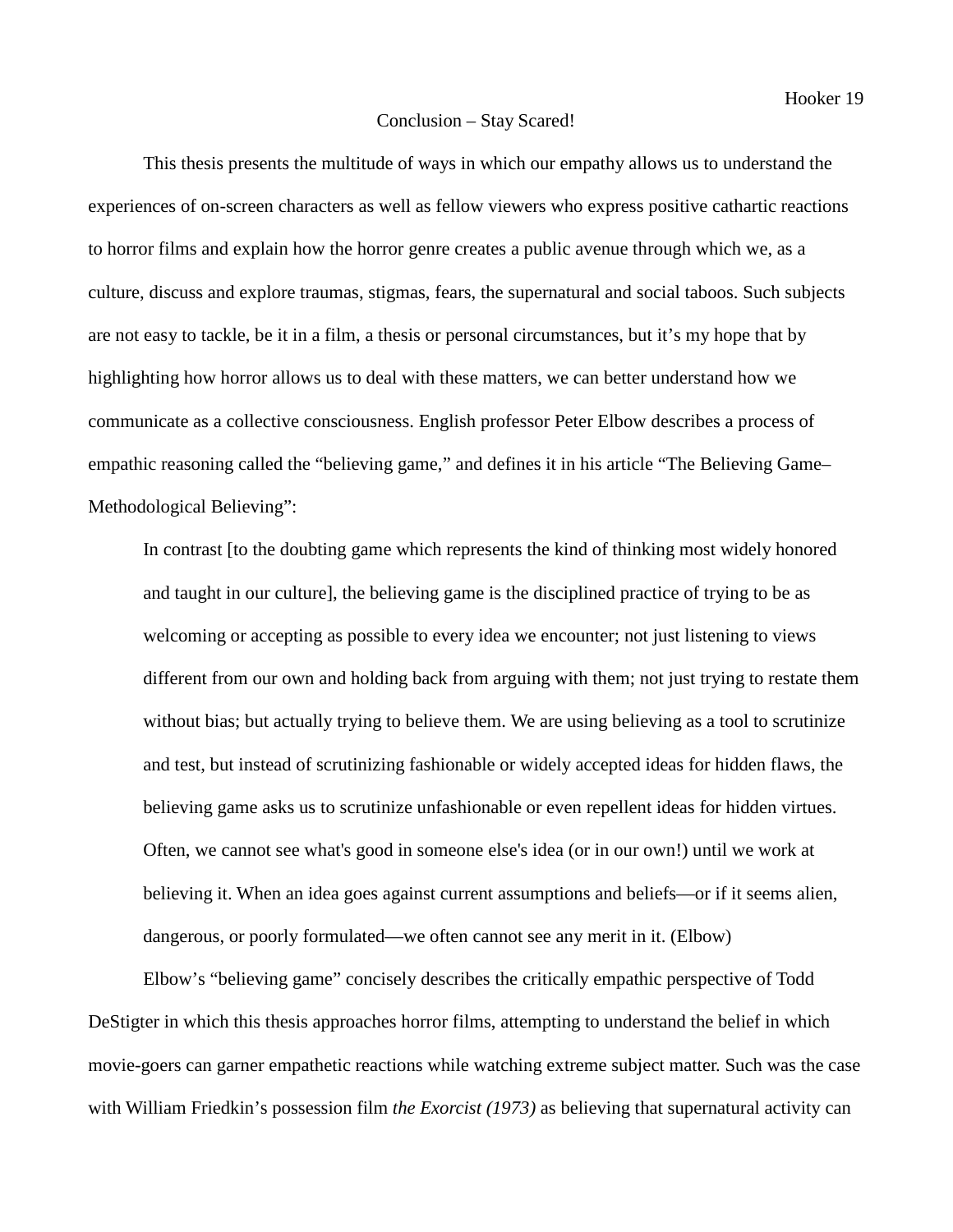#### Conclusion – Stay Scared!

This thesis presents the multitude of ways in which our empathy allows us to understand the experiences of on-screen characters as well as fellow viewers who express positive cathartic reactions to horror films and explain how the horror genre creates a public avenue through which we, as a culture, discuss and explore traumas, stigmas, fears, the supernatural and social taboos. Such subjects are not easy to tackle, be it in a film, a thesis or personal circumstances, but it's my hope that by highlighting how horror allows us to deal with these matters, we can better understand how we communicate as a collective consciousness. English professor Peter Elbow describes a process of empathic reasoning called the "believing game," and defines it in his article "The Believing Game– Methodological Believing":

In contrast [to the doubting game which represents the kind of thinking most widely honored and taught in our culture], the believing game is the disciplined practice of trying to be as welcoming or accepting as possible to every idea we encounter; not just listening to views different from our own and holding back from arguing with them; not just trying to restate them without bias; but actually trying to believe them. We are using believing as a tool to scrutinize and test, but instead of scrutinizing fashionable or widely accepted ideas for hidden flaws, the believing game asks us to scrutinize unfashionable or even repellent ideas for hidden virtues. Often, we cannot see what's good in someone else's idea (or in our own!) until we work at believing it. When an idea goes against current assumptions and beliefs—or if it seems alien, dangerous, or poorly formulated—we often cannot see any merit in it. (Elbow)

Elbow's "believing game" concisely describes the critically empathic perspective of Todd DeStigter in which this thesis approaches horror films, attempting to understand the belief in which movie-goers can garner empathetic reactions while watching extreme subject matter. Such was the case with William Friedkin's possession film *the Exorcist (1973)* as believing that supernatural activity can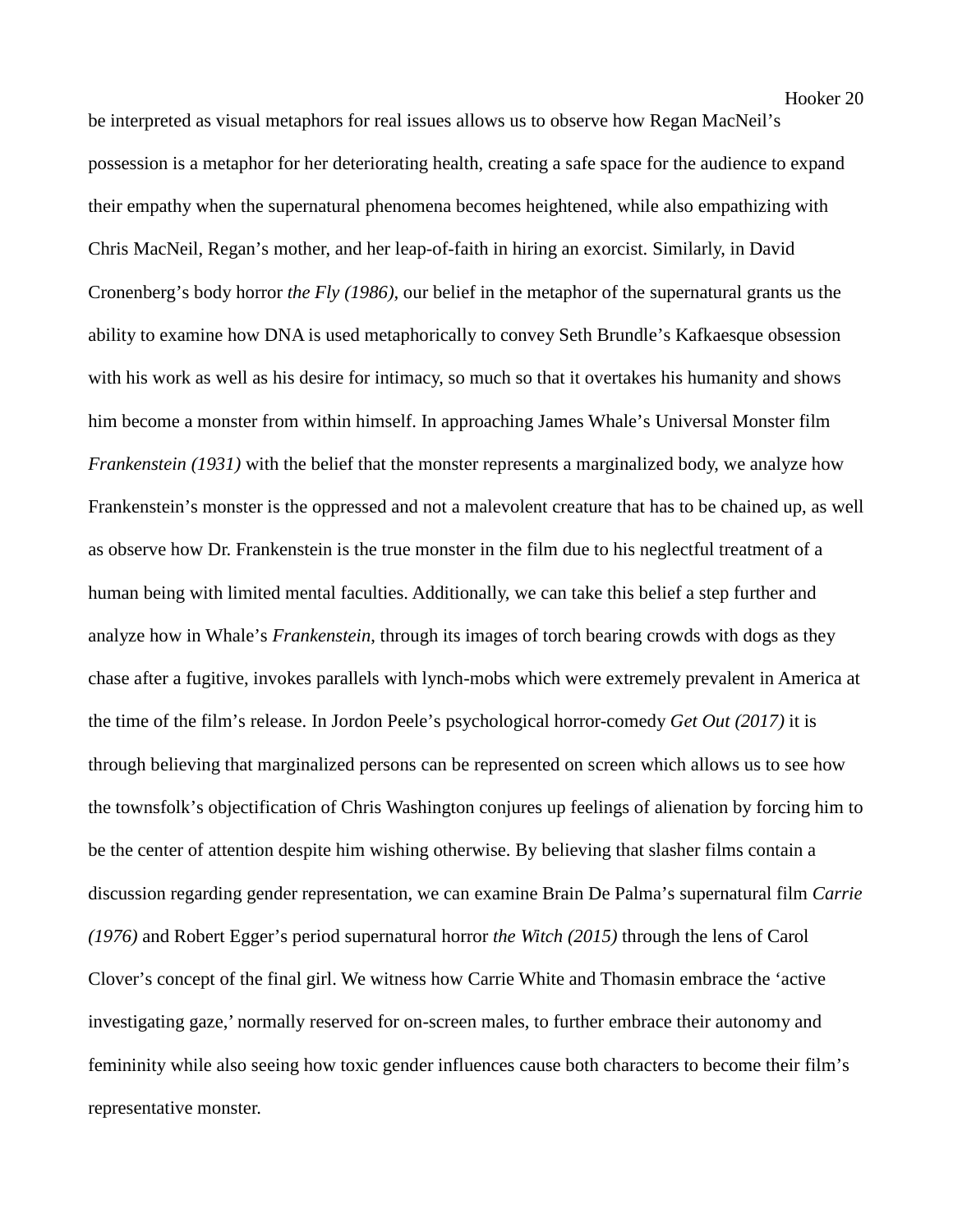be interpreted as visual metaphors for real issues allows us to observe how Regan MacNeil's possession is a metaphor for her deteriorating health, creating a safe space for the audience to expand their empathy when the supernatural phenomena becomes heightened, while also empathizing with Chris MacNeil, Regan's mother, and her leap-of-faith in hiring an exorcist. Similarly, in David Cronenberg's body horror *the Fly (1986),* our belief in the metaphor of the supernatural grants us the ability to examine how DNA is used metaphorically to convey Seth Brundle's Kafkaesque obsession with his work as well as his desire for intimacy, so much so that it overtakes his humanity and shows him become a monster from within himself. In approaching James Whale's Universal Monster film *Frankenstein (1931)* with the belief that the monster represents a marginalized body, we analyze how Frankenstein's monster is the oppressed and not a malevolent creature that has to be chained up, as well as observe how Dr. Frankenstein is the true monster in the film due to his neglectful treatment of a human being with limited mental faculties. Additionally, we can take this belief a step further and analyze how in Whale's *Frankenstein*, through its images of torch bearing crowds with dogs as they chase after a fugitive, invokes parallels with lynch-mobs which were extremely prevalent in America at the time of the film's release. In Jordon Peele's psychological horror-comedy *Get Out (2017)* it is through believing that marginalized persons can be represented on screen which allows us to see how the townsfolk's objectification of Chris Washington conjures up feelings of alienation by forcing him to be the center of attention despite him wishing otherwise. By believing that slasher films contain a discussion regarding gender representation, we can examine Brain De Palma's supernatural film *Carrie (1976)* and Robert Egger's period supernatural horror *the Witch (2015)* through the lens of Carol Clover's concept of the final girl. We witness how Carrie White and Thomasin embrace the 'active investigating gaze,' normally reserved for on-screen males, to further embrace their autonomy and femininity while also seeing how toxic gender influences cause both characters to become their film's representative monster.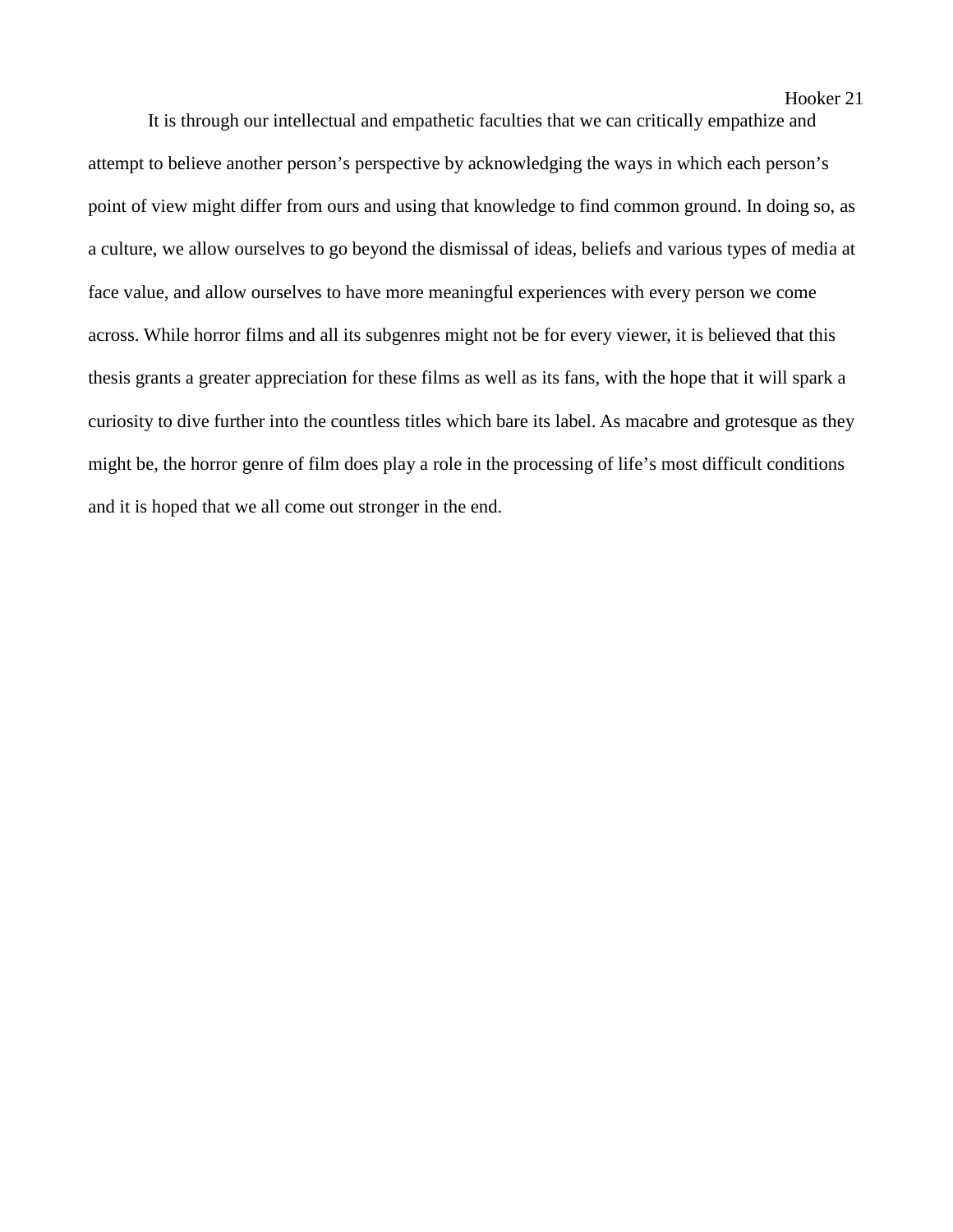It is through our intellectual and empathetic faculties that we can critically empathize and attempt to believe another person's perspective by acknowledging the ways in which each person's point of view might differ from ours and using that knowledge to find common ground. In doing so, as a culture, we allow ourselves to go beyond the dismissal of ideas, beliefs and various types of media at face value, and allow ourselves to have more meaningful experiences with every person we come across. While horror films and all its subgenres might not be for every viewer, it is believed that this thesis grants a greater appreciation for these films as well as its fans, with the hope that it will spark a curiosity to dive further into the countless titles which bare its label. As macabre and grotesque as they might be, the horror genre of film does play a role in the processing of life's most difficult conditions and it is hoped that we all come out stronger in the end.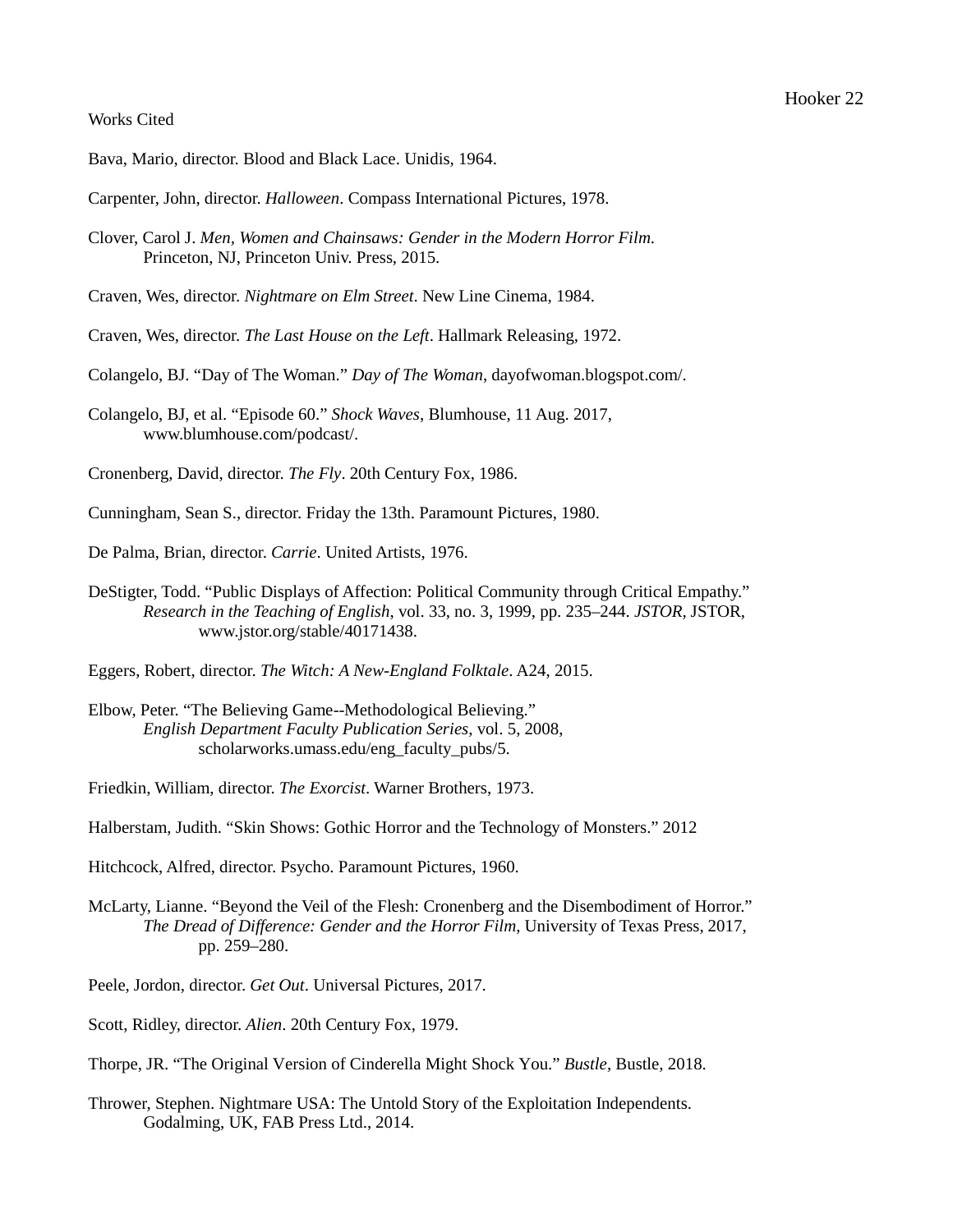# Works Cited

- Bava, Mario, director. Blood and Black Lace. Unidis, 1964.
- Carpenter, John, director. *Halloween*. Compass International Pictures, 1978.
- Clover, Carol J. *Men, Women and Chainsaws: Gender in the Modern Horror Film*. Princeton, NJ, Princeton Univ. Press, 2015.
- Craven, Wes, director. *Nightmare on Elm Street*. New Line Cinema, 1984.
- Craven, Wes, director. *The Last House on the Left*. Hallmark Releasing, 1972.
- Colangelo, BJ. "Day of The Woman." *Day of The Woman*, dayofwoman.blogspot.com/.
- Colangelo, BJ, et al. "Episode 60." *Shock Waves*, Blumhouse, 11 Aug. 2017, www.blumhouse.com/podcast/.
- Cronenberg, David, director. *The Fly*. 20th Century Fox, 1986.
- Cunningham, Sean S., director. Friday the 13th. Paramount Pictures, 1980.
- De Palma, Brian, director. *Carrie*. United Artists, 1976.
- DeStigter, Todd. "Public Displays of Affection: Political Community through Critical Empathy." *Research in the Teaching of English*, vol. 33, no. 3, 1999, pp. 235–244. *JSTOR*, JSTOR, www.jstor.org/stable/40171438.
- Eggers, Robert, director. *The Witch: A New-England Folktale*. A24, 2015.
- Elbow, Peter. "The Believing Game--Methodological Believing." *English Department Faculty Publication Series*, vol. 5, 2008, scholarworks.umass.edu/eng\_faculty\_pubs/5.
- Friedkin, William, director. *The Exorcist*. Warner Brothers, 1973.
- Halberstam, Judith. "Skin Shows: Gothic Horror and the Technology of Monsters." 2012

Hitchcock, Alfred, director. Psycho. Paramount Pictures, 1960.

- McLarty, Lianne. "Beyond the Veil of the Flesh: Cronenberg and the Disembodiment of Horror." *The Dread of Difference: Gender and the Horror Film*, University of Texas Press, 2017, pp. 259–280.
- Peele, Jordon, director. *Get Out*. Universal Pictures, 2017.
- Scott, Ridley, director. *Alien*. 20th Century Fox, 1979.
- Thorpe, JR. "The Original Version of Cinderella Might Shock You." *Bustle*, Bustle, 2018.
- Thrower, Stephen. Nightmare USA: The Untold Story of the Exploitation Independents. Godalming, UK, FAB Press Ltd., 2014.